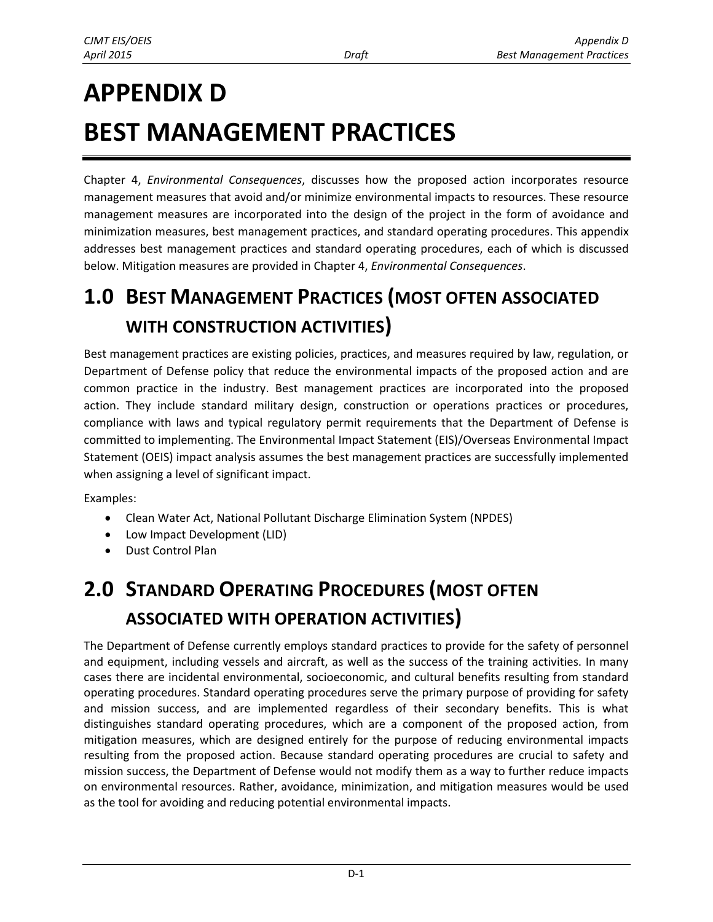# **APPENDIX D BEST MANAGEMENT PRACTICES**

Chapter 4, *Environmental Consequences*, discusses how the proposed action incorporates resource management measures that avoid and/or minimize environmental impacts to resources. These resource management measures are incorporated into the design of the project in the form of avoidance and minimization measures, best management practices, and standard operating procedures. This appendix addresses best management practices and standard operating procedures, each of which is discussed below. Mitigation measures are provided in Chapter 4, *Environmental Consequences*.

### **1.0 BEST MANAGEMENT PRACTICES (MOST OFTEN ASSOCIATED WITH CONSTRUCTION ACTIVITIES)**

Best management practices are existing policies, practices, and measures required by law, regulation, or Department of Defense policy that reduce the environmental impacts of the proposed action and are common practice in the industry. Best management practices are incorporated into the proposed action. They include standard military design, construction or operations practices or procedures, compliance with laws and typical regulatory permit requirements that the Department of Defense is committed to implementing. The Environmental Impact Statement (EIS)/Overseas Environmental Impact Statement (OEIS) impact analysis assumes the best management practices are successfully implemented when assigning a level of significant impact.

Examples:

- Clean Water Act, National Pollutant Discharge Elimination System (NPDES)
- Low Impact Development (LID)
- Dust Control Plan

## **2.0 STANDARD OPERATING PROCEDURES (MOST OFTEN ASSOCIATED WITH OPERATION ACTIVITIES)**

The Department of Defense currently employs standard practices to provide for the safety of personnel and equipment, including vessels and aircraft, as well as the success of the training activities. In many cases there are incidental environmental, socioeconomic, and cultural benefits resulting from standard operating procedures. Standard operating procedures serve the primary purpose of providing for safety and mission success, and are implemented regardless of their secondary benefits. This is what distinguishes standard operating procedures, which are a component of the proposed action, from mitigation measures, which are designed entirely for the purpose of reducing environmental impacts resulting from the proposed action. Because standard operating procedures are crucial to safety and mission success, the Department of Defense would not modify them as a way to further reduce impacts on environmental resources. Rather, avoidance, minimization, and mitigation measures would be used as the tool for avoiding and reducing potential environmental impacts.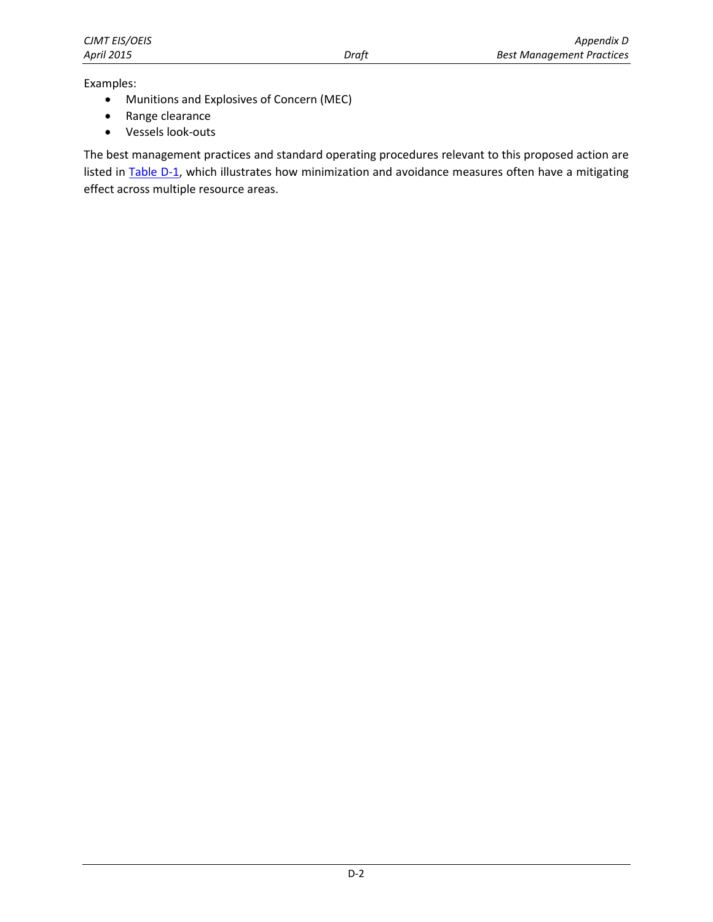Examples:

- Munitions and Explosives of Concern (MEC)
- Range clearance
- Vessels look-outs

The best management practices and standard operating procedures relevant to this proposed action are listed in **Table D-1**, which illustrates how minimization and avoidance measures often have a mitigating effect across multiple resource areas.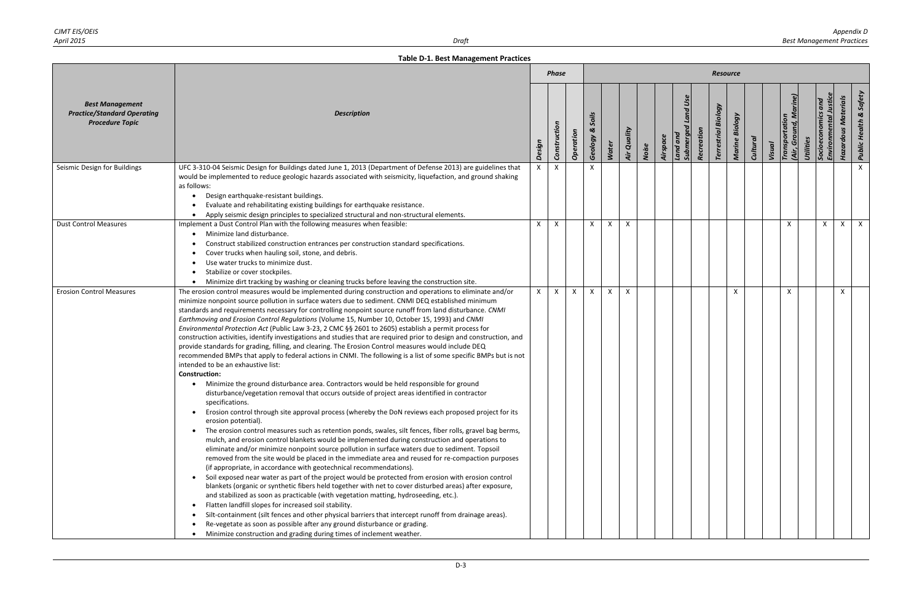<span id="page-2-0"></span>

|                                                                                        |                                                                                                                                                                                                                                                                                                                                                                                                                                                                                                                                                                                                                                                                                                                                                                                                                                                                                                                                                                                                                                                                                                                                                                                                                                                                                                                                                                                                                                                                                                                                                                                                                                                                                                                                                                                                                                                                                                                                                                                                                                                                                                                                                                                                                                                                                                                                                                                                                                                                                     |              | <b>Phase</b> |              |                                           |              |              |       |          |                                         |            | <b>Resource</b>               |                           |                 |        |                                             |              |                                        |                                   |
|----------------------------------------------------------------------------------------|-------------------------------------------------------------------------------------------------------------------------------------------------------------------------------------------------------------------------------------------------------------------------------------------------------------------------------------------------------------------------------------------------------------------------------------------------------------------------------------------------------------------------------------------------------------------------------------------------------------------------------------------------------------------------------------------------------------------------------------------------------------------------------------------------------------------------------------------------------------------------------------------------------------------------------------------------------------------------------------------------------------------------------------------------------------------------------------------------------------------------------------------------------------------------------------------------------------------------------------------------------------------------------------------------------------------------------------------------------------------------------------------------------------------------------------------------------------------------------------------------------------------------------------------------------------------------------------------------------------------------------------------------------------------------------------------------------------------------------------------------------------------------------------------------------------------------------------------------------------------------------------------------------------------------------------------------------------------------------------------------------------------------------------------------------------------------------------------------------------------------------------------------------------------------------------------------------------------------------------------------------------------------------------------------------------------------------------------------------------------------------------------------------------------------------------------------------------------------------------|--------------|--------------|--------------|-------------------------------------------|--------------|--------------|-------|----------|-----------------------------------------|------------|-------------------------------|---------------------------|-----------------|--------|---------------------------------------------|--------------|----------------------------------------|-----------------------------------|
| <b>Best Management</b><br><b>Practice/Standard Operating</b><br><b>Procedure Topic</b> | <b>Description</b>                                                                                                                                                                                                                                                                                                                                                                                                                                                                                                                                                                                                                                                                                                                                                                                                                                                                                                                                                                                                                                                                                                                                                                                                                                                                                                                                                                                                                                                                                                                                                                                                                                                                                                                                                                                                                                                                                                                                                                                                                                                                                                                                                                                                                                                                                                                                                                                                                                                                  | Design       | Construction | Operation    | Soils<br>$\boldsymbol{\alpha}$<br>Geology | <b>Water</b> | Air Quality  | Noise | Airspace | <b>Land Use</b><br>Submerge<br>Land and | Recreation | Biology<br><b>Terrestrial</b> | Marine Biology            | <b>Cultural</b> | Visual | Transportation<br>(Air, Ground<br>Utilities | Socioe       | <b>Hazardous Materials</b><br>Environm | <b>Public Health &amp; Safety</b> |
| Seismic Design for Buildings                                                           | UFC 3-310-04 Seismic Design for Buildings dated June 1, 2013 (Department of Defense 2013) are guidelines that<br>would be implemented to reduce geologic hazards associated with seismicity, liquefaction, and ground shaking<br>as follows:<br>Design earthquake-resistant buildings.<br>Evaluate and rehabilitating existing buildings for earthquake resistance.<br>• Apply seismic design principles to specialized structural and non-structural elements.                                                                                                                                                                                                                                                                                                                                                                                                                                                                                                                                                                                                                                                                                                                                                                                                                                                                                                                                                                                                                                                                                                                                                                                                                                                                                                                                                                                                                                                                                                                                                                                                                                                                                                                                                                                                                                                                                                                                                                                                                     | X            | $\mathsf{X}$ |              | $\times$                                  |              |              |       |          |                                         |            |                               |                           |                 |        |                                             |              |                                        | $\mathsf{X}$                      |
| <b>Dust Control Measures</b>                                                           | Implement a Dust Control Plan with the following measures when feasible:<br>Minimize land disturbance.<br>Construct stabilized construction entrances per construction standard specifications.<br>Cover trucks when hauling soil, stone, and debris.<br>Use water trucks to minimize dust.<br>Stabilize or cover stockpiles.<br>$\bullet$<br>. Minimize dirt tracking by washing or cleaning trucks before leaving the construction site.                                                                                                                                                                                                                                                                                                                                                                                                                                                                                                                                                                                                                                                                                                                                                                                                                                                                                                                                                                                                                                                                                                                                                                                                                                                                                                                                                                                                                                                                                                                                                                                                                                                                                                                                                                                                                                                                                                                                                                                                                                          | X            | $\mathsf{X}$ |              | $\mathsf{X}$                              | X            | $\mathsf{X}$ |       |          |                                         |            |                               |                           |                 |        | $\mathsf{x}$                                | $\mathsf{X}$ | $\mathsf{X}$                           | $\mathsf{X}$                      |
| <b>Erosion Control Measures</b>                                                        | The erosion control measures would be implemented during construction and operations to eliminate and/or<br>minimize nonpoint source pollution in surface waters due to sediment. CNMI DEQ established minimum<br>standards and requirements necessary for controlling nonpoint source runoff from land disturbance. CNMI<br>Earthmoving and Erosion Control Regulations (Volume 15, Number 10, October 15, 1993) and CNMI<br>Environmental Protection Act (Public Law 3-23, 2 CMC §§ 2601 to 2605) establish a permit process for<br>construction activities, identify investigations and studies that are required prior to design and construction, and<br>provide standards for grading, filling, and clearing. The Erosion Control measures would include DEQ<br>recommended BMPs that apply to federal actions in CNMI. The following is a list of some specific BMPs but is not<br>intended to be an exhaustive list:<br><b>Construction:</b><br>Minimize the ground disturbance area. Contractors would be held responsible for ground<br>$\bullet$<br>disturbance/vegetation removal that occurs outside of project areas identified in contractor<br>specifications.<br>Erosion control through site approval process (whereby the DoN reviews each proposed project for its<br>$\bullet$<br>erosion potential).<br>The erosion control measures such as retention ponds, swales, silt fences, fiber rolls, gravel bag berms,<br>$\bullet$<br>mulch, and erosion control blankets would be implemented during construction and operations to<br>eliminate and/or minimize nonpoint source pollution in surface waters due to sediment. Topsoil<br>removed from the site would be placed in the immediate area and reused for re-compaction purposes<br>(if appropriate, in accordance with geotechnical recommendations).<br>• Soil exposed near water as part of the project would be protected from erosion with erosion control<br>blankets (organic or synthetic fibers held together with net to cover disturbed areas) after exposure,<br>and stabilized as soon as practicable (with vegetation matting, hydroseeding, etc.).<br>Flatten landfill slopes for increased soil stability.<br>$\bullet$<br>Silt-containment (silt fences and other physical barriers that intercept runoff from drainage areas).<br>Re-vegetate as soon as possible after any ground disturbance or grading.<br>• Minimize construction and grading during times of inclement weather. | $\mathsf{x}$ | $\mathsf{X}$ | $\mathsf{X}$ | $\mathsf{x}$                              | $\mathsf{X}$ | $\mathsf{x}$ |       |          |                                         |            |                               | $\boldsymbol{\mathsf{x}}$ |                 |        | $\mathsf{x}$                                |              | X                                      |                                   |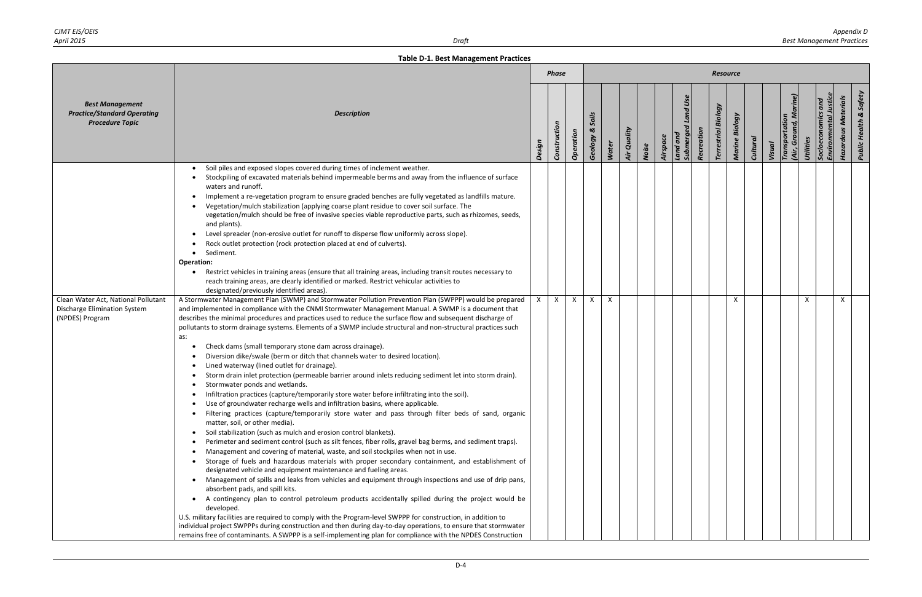|                                                                                               |                                                                                                                                                                                                                                                                                                                                                                                                                                                                                                                                                                                                                                                                                                                                                                                                                                                                                                                                                                                                                                                                                                                                                                                                                                                                                                                                                                                                                                                                                                                                                                                                                                                                                                                                                                                                                                                                                                                                                                                                                                                                                                                                                                                                         |        | <b>Phase</b> |              |                       |              |             |       |                      |                       |            | <b>Resource</b>               |                |                 |        |                                      |                                    |          |                                                                 |
|-----------------------------------------------------------------------------------------------|---------------------------------------------------------------------------------------------------------------------------------------------------------------------------------------------------------------------------------------------------------------------------------------------------------------------------------------------------------------------------------------------------------------------------------------------------------------------------------------------------------------------------------------------------------------------------------------------------------------------------------------------------------------------------------------------------------------------------------------------------------------------------------------------------------------------------------------------------------------------------------------------------------------------------------------------------------------------------------------------------------------------------------------------------------------------------------------------------------------------------------------------------------------------------------------------------------------------------------------------------------------------------------------------------------------------------------------------------------------------------------------------------------------------------------------------------------------------------------------------------------------------------------------------------------------------------------------------------------------------------------------------------------------------------------------------------------------------------------------------------------------------------------------------------------------------------------------------------------------------------------------------------------------------------------------------------------------------------------------------------------------------------------------------------------------------------------------------------------------------------------------------------------------------------------------------------------|--------|--------------|--------------|-----------------------|--------------|-------------|-------|----------------------|-----------------------|------------|-------------------------------|----------------|-----------------|--------|--------------------------------------|------------------------------------|----------|-----------------------------------------------------------------|
| <b>Best Management</b><br><b>Practice/Standard Operating</b><br><b>Procedure Topic</b>        | <b>Description</b>                                                                                                                                                                                                                                                                                                                                                                                                                                                                                                                                                                                                                                                                                                                                                                                                                                                                                                                                                                                                                                                                                                                                                                                                                                                                                                                                                                                                                                                                                                                                                                                                                                                                                                                                                                                                                                                                                                                                                                                                                                                                                                                                                                                      | Design | Construction | Operation    | Soils<br>ಜ<br>Geology | <b>Water</b> | Air Quality | Noise | Land and<br>Airspace | Land Use<br>Submerged | Recreation | Biology<br><b>Terrestrial</b> | Marine Biology | <b>Cultural</b> | Visual | Ground, M<br>Transportation<br>(Air, | and<br>Socioeconomics<br>Utilities | Environm | <b>Public Health &amp; Safety</b><br><b>Hazardous Materials</b> |
|                                                                                               | Soil piles and exposed slopes covered during times of inclement weather.<br>Stockpiling of excavated materials behind impermeable berms and away from the influence of surface<br>waters and runoff.<br>Implement a re-vegetation program to ensure graded benches are fully vegetated as landfills mature.<br>Vegetation/mulch stabilization (applying coarse plant residue to cover soil surface. The<br>vegetation/mulch should be free of invasive species viable reproductive parts, such as rhizomes, seeds,<br>and plants).<br>Level spreader (non-erosive outlet for runoff to disperse flow uniformly across slope).<br>Rock outlet protection (rock protection placed at end of culverts).<br>Sediment.<br>$\bullet$<br><b>Operation:</b><br>Restrict vehicles in training areas (ensure that all training areas, including transit routes necessary to<br>reach training areas, are clearly identified or marked. Restrict vehicular activities to<br>designated/previously identified areas).                                                                                                                                                                                                                                                                                                                                                                                                                                                                                                                                                                                                                                                                                                                                                                                                                                                                                                                                                                                                                                                                                                                                                                                               |        |              |              |                       |              |             |       |                      |                       |            |                               |                |                 |        |                                      |                                    |          |                                                                 |
| Clean Water Act, National Pollutant<br><b>Discharge Elimination System</b><br>(NPDES) Program | A Stormwater Management Plan (SWMP) and Stormwater Pollution Prevention Plan (SWPPP) would be prepared<br>and implemented in compliance with the CNMI Stormwater Management Manual. A SWMP is a document that<br>describes the minimal procedures and practices used to reduce the surface flow and subsequent discharge of<br>pollutants to storm drainage systems. Elements of a SWMP include structural and non-structural practices such<br>as:<br>Check dams (small temporary stone dam across drainage).<br>Diversion dike/swale (berm or ditch that channels water to desired location).<br>Lined waterway (lined outlet for drainage).<br>Storm drain inlet protection (permeable barrier around inlets reducing sediment let into storm drain).<br>Stormwater ponds and wetlands.<br>Infiltration practices (capture/temporarily store water before infiltrating into the soil).<br>Use of groundwater recharge wells and infiltration basins, where applicable.<br>Filtering practices (capture/temporarily store water and pass through filter beds of sand, organic<br>matter, soil, or other media).<br>Soil stabilization (such as mulch and erosion control blankets).<br>$\bullet$<br>Perimeter and sediment control (such as silt fences, fiber rolls, gravel bag berms, and sediment traps).<br>Management and covering of material, waste, and soil stockpiles when not in use.<br>Storage of fuels and hazardous materials with proper secondary containment, and establishment of<br>designated vehicle and equipment maintenance and fueling areas.<br>Management of spills and leaks from vehicles and equipment through inspections and use of drip pans,<br>$\bullet$<br>absorbent pads, and spill kits.<br>A contingency plan to control petroleum products accidentally spilled during the project would be<br>developed.<br>U.S. military facilities are required to comply with the Program-level SWPPP for construction, in addition to<br>individual project SWPPPs during construction and then during day-to-day operations, to ensure that stormwater<br>remains free of contaminants. A SWPPP is a self-implementing plan for compliance with the NPDES Construction |        | $\mathsf{X}$ | $\mathsf{X}$ | X                     | X            |             |       |                      |                       |            |                               | X              |                 |        |                                      |                                    |          | X                                                               |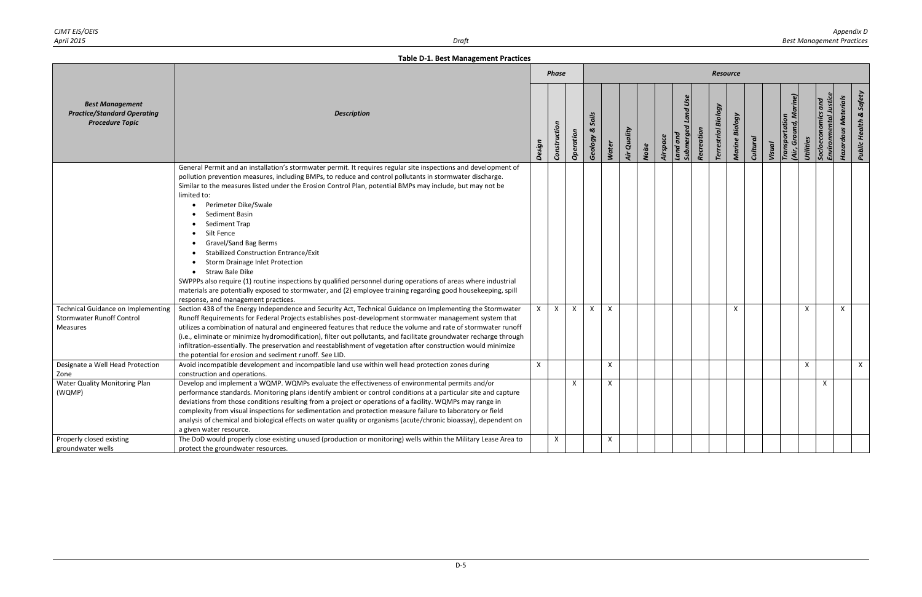|                                                                                           |                                                                                                                                                                                                                                                                                                                                                                                                                                                                                                                                                                                                                                                                                                                                                                                                                                                             |              | <b>Phase</b> |              |                       |              |                    |       |          |                                       |            | <b>Resource</b>            |                |          |                          |                                    |                    |                                                           |                                   |
|-------------------------------------------------------------------------------------------|-------------------------------------------------------------------------------------------------------------------------------------------------------------------------------------------------------------------------------------------------------------------------------------------------------------------------------------------------------------------------------------------------------------------------------------------------------------------------------------------------------------------------------------------------------------------------------------------------------------------------------------------------------------------------------------------------------------------------------------------------------------------------------------------------------------------------------------------------------------|--------------|--------------|--------------|-----------------------|--------------|--------------------|-------|----------|---------------------------------------|------------|----------------------------|----------------|----------|--------------------------|------------------------------------|--------------------|-----------------------------------------------------------|-----------------------------------|
| <b>Best Management</b><br><b>Practice/Standard Operating</b><br><b>Procedure Topic</b>    | <b>Description</b>                                                                                                                                                                                                                                                                                                                                                                                                                                                                                                                                                                                                                                                                                                                                                                                                                                          | Design       | Construction | Operation    | Soils<br>ಜ<br>Geology | Water        | <b>Air Quality</b> | Noise | Airspace | <b>Submerged Land Use</b><br>Land and | Recreation | <b>Terrestrial Biology</b> | Marine Biology | Cultural | Transportation<br>Visual | (Air, Ground, Marine)<br>Utilities | Socioeconomics and | <b>Environmental Justic</b><br><b>Hazardous Materials</b> | <b>Public Health &amp; Safety</b> |
|                                                                                           | General Permit and an installation's stormwater permit. It requires regular site inspections and development of<br>pollution prevention measures, including BMPs, to reduce and control pollutants in stormwater discharge.<br>Similar to the measures listed under the Erosion Control Plan, potential BMPs may include, but may not be<br>limited to:<br>• Perimeter Dike/Swale<br>Sediment Basin<br>Sediment Trap<br>Silt Fence<br><b>Gravel/Sand Bag Berms</b><br><b>Stabilized Construction Entrance/Exit</b><br><b>Storm Drainage Inlet Protection</b><br>• Straw Bale Dike<br>SWPPPs also require (1) routine inspections by qualified personnel during operations of areas where industrial<br>materials are potentially exposed to stormwater, and (2) employee training regarding good housekeeping, spill<br>response, and management practices. |              |              |              |                       |              |                    |       |          |                                       |            |                            |                |          |                          |                                    |                    |                                                           |                                   |
| Technical Guidance on Implementing<br><b>Stormwater Runoff Control</b><br><b>Measures</b> | Section 438 of the Energy Independence and Security Act, Technical Guidance on Implementing the Stormwater<br>Runoff Requirements for Federal Projects establishes post-development stormwater management system that<br>utilizes a combination of natural and engineered features that reduce the volume and rate of stormwater runoff<br>(i.e., eliminate or minimize hydromodification), filter out pollutants, and facilitate groundwater recharge through<br>infiltration-essentially. The preservation and reestablishment of vegetation after construction would minimize<br>the potential for erosion and sediment runoff. See LID.                                                                                                                                                                                                                 | $\mathsf{X}$ | $\mathsf{X}$ | $\mathsf{X}$ | $\mathsf{X}$          | $\mathsf{X}$ |                    |       |          |                                       |            |                            | $\mathsf{X}$   |          |                          | X                                  |                    | $\mathsf{X}$                                              |                                   |
| Designate a Well Head Protection<br>Zone                                                  | Avoid incompatible development and incompatible land use within well head protection zones during<br>construction and operations.                                                                                                                                                                                                                                                                                                                                                                                                                                                                                                                                                                                                                                                                                                                           | $\mathsf{X}$ |              |              |                       | $\mathsf{X}$ |                    |       |          |                                       |            |                            |                |          |                          | X                                  |                    |                                                           | $\mathsf{X}$                      |
| Water Quality Monitoring Plan<br>(WQMP)                                                   | Develop and implement a WQMP. WQMPs evaluate the effectiveness of environmental permits and/or<br>performance standards. Monitoring plans identify ambient or control conditions at a particular site and capture<br>deviations from those conditions resulting from a project or operations of a facility. WQMPs may range in<br>complexity from visual inspections for sedimentation and protection measure failure to laboratory or field<br>analysis of chemical and biological effects on water quality or organisms (acute/chronic bioassay), dependent on<br>a given water resource.                                                                                                                                                                                                                                                                 |              |              | $\times$     |                       | $\times$     |                    |       |          |                                       |            |                            |                |          |                          |                                    | $\mathsf{x}$       |                                                           |                                   |
| Properly closed existing<br>groundwater wells                                             | The DoD would properly close existing unused (production or monitoring) wells within the Military Lease Area to<br>protect the groundwater resources.                                                                                                                                                                                                                                                                                                                                                                                                                                                                                                                                                                                                                                                                                                       |              | X            |              |                       | X            |                    |       |          |                                       |            |                            |                |          |                          |                                    |                    |                                                           |                                   |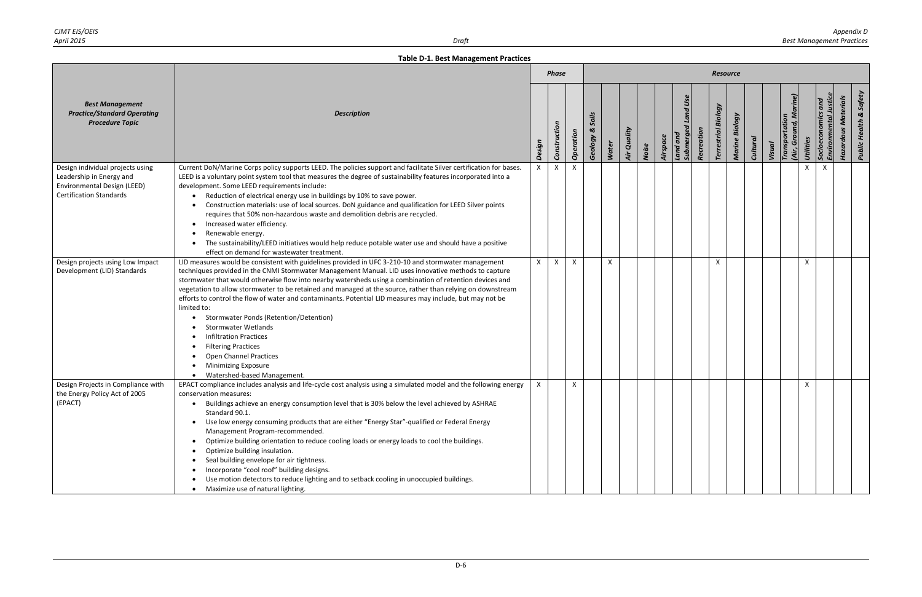|                                                                                                                               |                                                                                                                                                                                                                                                                                                                                                                                                                                                                                                                                                                                                                                                                                                                                                                                                                                           |        | <b>Phase</b> |           |                       |              |             |       |          |                                          |            | <b>Resource</b>            |                |                 |        |                                   |                                           |          |                            |                                   |
|-------------------------------------------------------------------------------------------------------------------------------|-------------------------------------------------------------------------------------------------------------------------------------------------------------------------------------------------------------------------------------------------------------------------------------------------------------------------------------------------------------------------------------------------------------------------------------------------------------------------------------------------------------------------------------------------------------------------------------------------------------------------------------------------------------------------------------------------------------------------------------------------------------------------------------------------------------------------------------------|--------|--------------|-----------|-----------------------|--------------|-------------|-------|----------|------------------------------------------|------------|----------------------------|----------------|-----------------|--------|-----------------------------------|-------------------------------------------|----------|----------------------------|-----------------------------------|
| <b>Best Management</b><br><b>Practice/Standard Operating</b><br><b>Procedure Topic</b>                                        | <b>Description</b>                                                                                                                                                                                                                                                                                                                                                                                                                                                                                                                                                                                                                                                                                                                                                                                                                        | Design | Construction | Operation | Soils<br>త<br>Geology | <b>Water</b> | Air Quality | Noise | Airspace | <b>Land Use</b><br>Submerged<br>Land and | Recreation | <b>Terrestrial Biology</b> | Marine Biology | <b>Cultural</b> | Visual | (Air, Ground, M<br>Transportation | $\overline{and}$<br>Utilities<br>Socioecc | Environm | <b>Hazardous Materials</b> | <b>Public Health &amp; Safety</b> |
| Design individual projects using<br>Leadership in Energy and<br>Environmental Design (LEED)<br><b>Certification Standards</b> | Current DoN/Marine Corps policy supports LEED. The policies support and facilitate Silver certification for bases.<br>LEED is a voluntary point system tool that measures the degree of sustainability features incorporated into a<br>development. Some LEED requirements include:<br>Reduction of electrical energy use in buildings by 10% to save power.<br>Construction materials: use of local sources. DoN guidance and qualification for LEED Silver points<br>requires that 50% non-hazardous waste and demolition debris are recycled.<br>Increased water efficiency.<br>$\bullet$<br>Renewable energy.<br>The sustainability/LEED initiatives would help reduce potable water use and should have a positive<br>effect on demand for wastewater treatment.                                                                     | X      | $\mathsf{X}$ | x         |                       |              |             |       |          |                                          |            |                            |                |                 |        |                                   | X                                         | $\times$ |                            |                                   |
| Design projects using Low Impact<br>Development (LID) Standards                                                               | LID measures would be consistent with guidelines provided in UFC 3-210-10 and stormwater management<br>techniques provided in the CNMI Stormwater Management Manual. LID uses innovative methods to capture<br>stormwater that would otherwise flow into nearby watersheds using a combination of retention devices and<br>vegetation to allow stormwater to be retained and managed at the source, rather than relying on downstream<br>efforts to control the flow of water and contaminants. Potential LID measures may include, but may not be<br>limited to:<br>Stormwater Ponds (Retention/Detention)<br><b>Stormwater Wetlands</b><br><b>Infiltration Practices</b><br><b>Filtering Practices</b><br>$\bullet$<br><b>Open Channel Practices</b><br><b>Minimizing Exposure</b><br>Watershed-based Management.                       | X      | $\mathsf{X}$ | X         |                       | x            |             |       |          |                                          |            | X                          |                |                 |        |                                   | X                                         |          |                            |                                   |
| Design Projects in Compliance with<br>the Energy Policy Act of 2005<br>(EPACT)                                                | EPACT compliance includes analysis and life-cycle cost analysis using a simulated model and the following energy<br>conservation measures:<br>Buildings achieve an energy consumption level that is 30% below the level achieved by ASHRAE<br>$\bullet$<br>Standard 90.1.<br>Use low energy consuming products that are either "Energy Star"-qualified or Federal Energy<br>$\bullet$<br>Management Program-recommended.<br>Optimize building orientation to reduce cooling loads or energy loads to cool the buildings.<br>$\bullet$<br>Optimize building insulation.<br>$\bullet$<br>Seal building envelope for air tightness.<br>Incorporate "cool roof" building designs.<br>$\bullet$<br>Use motion detectors to reduce lighting and to setback cooling in unoccupied buildings.<br>$\bullet$<br>• Maximize use of natural lighting. |        |              | X         |                       |              |             |       |          |                                          |            |                            |                |                 |        |                                   | X                                         |          |                            |                                   |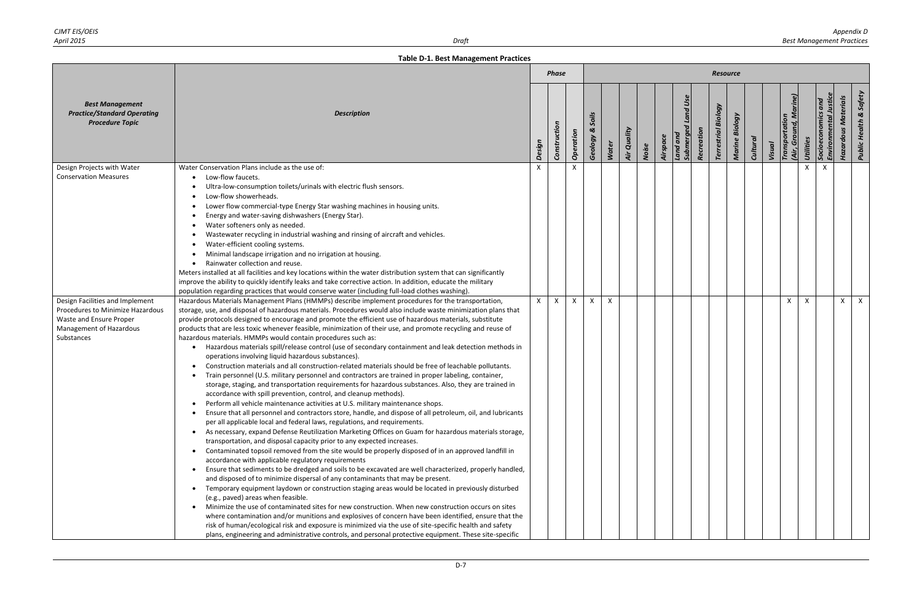|                                                                                                                                         |                                                                                                                                                                                                                                                                                                                                                                                                                                                                                                                                                                                                                                                                                                                                                                                                                                                                                                                                                                                                                                                                                                                                                                                                                                                                                                                                                                                                                                                                                                                                                                                                                                                                                                                                                                                                                                                                                                                                                                                                                                                                                                                                                                                                                                                                                                                                                                                                                                                                                                                 |              | <b>Phase</b> |           |                       |              |             |       |          |                                   |            | <b>Resource</b>            |                |                 |        |                                 |           |                                        |                            |                                   |
|-----------------------------------------------------------------------------------------------------------------------------------------|-----------------------------------------------------------------------------------------------------------------------------------------------------------------------------------------------------------------------------------------------------------------------------------------------------------------------------------------------------------------------------------------------------------------------------------------------------------------------------------------------------------------------------------------------------------------------------------------------------------------------------------------------------------------------------------------------------------------------------------------------------------------------------------------------------------------------------------------------------------------------------------------------------------------------------------------------------------------------------------------------------------------------------------------------------------------------------------------------------------------------------------------------------------------------------------------------------------------------------------------------------------------------------------------------------------------------------------------------------------------------------------------------------------------------------------------------------------------------------------------------------------------------------------------------------------------------------------------------------------------------------------------------------------------------------------------------------------------------------------------------------------------------------------------------------------------------------------------------------------------------------------------------------------------------------------------------------------------------------------------------------------------------------------------------------------------------------------------------------------------------------------------------------------------------------------------------------------------------------------------------------------------------------------------------------------------------------------------------------------------------------------------------------------------------------------------------------------------------------------------------------------------|--------------|--------------|-----------|-----------------------|--------------|-------------|-------|----------|-----------------------------------|------------|----------------------------|----------------|-----------------|--------|---------------------------------|-----------|----------------------------------------|----------------------------|-----------------------------------|
| <b>Best Management</b><br><b>Practice/Standard Operating</b><br><b>Procedure Topic</b>                                                  | <b>Description</b>                                                                                                                                                                                                                                                                                                                                                                                                                                                                                                                                                                                                                                                                                                                                                                                                                                                                                                                                                                                                                                                                                                                                                                                                                                                                                                                                                                                                                                                                                                                                                                                                                                                                                                                                                                                                                                                                                                                                                                                                                                                                                                                                                                                                                                                                                                                                                                                                                                                                                              | Design       | Construction | Operation | Soils<br>ಜ<br>Geology | <b>Water</b> | Air Quality | Noise | Airspace | Land Use<br>Submerged<br>Land ana | Recreation | <b>Terrestrial Biology</b> | Marine Biology | <b>Cultural</b> | Visual | Transportation<br>(Air, Ground, | Utilities | $\overline{and}$<br>Environm<br>Socioe | <b>Hazardous Materials</b> | <b>Public Health &amp; Safety</b> |
| Design Projects with Water<br><b>Conservation Measures</b>                                                                              | Water Conservation Plans include as the use of:<br>Low-flow faucets.<br>Ultra-low-consumption toilets/urinals with electric flush sensors.<br>Low-flow showerheads.<br>Lower flow commercial-type Energy Star washing machines in housing units.<br>Energy and water-saving dishwashers (Energy Star).<br>Water softeners only as needed.<br>Wastewater recycling in industrial washing and rinsing of aircraft and vehicles.<br>Water-efficient cooling systems.<br>Minimal landscape irrigation and no irrigation at housing.<br>Rainwater collection and reuse.<br>Meters installed at all facilities and key locations within the water distribution system that can significantly<br>improve the ability to quickly identify leaks and take corrective action. In addition, educate the military<br>population regarding practices that would conserve water (including full-load clothes washing).                                                                                                                                                                                                                                                                                                                                                                                                                                                                                                                                                                                                                                                                                                                                                                                                                                                                                                                                                                                                                                                                                                                                                                                                                                                                                                                                                                                                                                                                                                                                                                                                        | X            |              | X         |                       |              |             |       |          |                                   |            |                            |                |                 |        |                                 |           | $\times$                               |                            |                                   |
| Design Facilities and Implement<br>Procedures to Minimize Hazardous<br>Waste and Ensure Proper<br>Management of Hazardous<br>Substances | Hazardous Materials Management Plans (HMMPs) describe implement procedures for the transportation,<br>storage, use, and disposal of hazardous materials. Procedures would also include waste minimization plans that<br>provide protocols designed to encourage and promote the efficient use of hazardous materials, substitute<br>products that are less toxic whenever feasible, minimization of their use, and promote recycling and reuse of<br>hazardous materials. HMMPs would contain procedures such as:<br>Hazardous materials spill/release control (use of secondary containment and leak detection methods in<br>operations involving liquid hazardous substances).<br>Construction materials and all construction-related materials should be free of leachable pollutants.<br>Train personnel (U.S. military personnel and contractors are trained in proper labeling, container,<br>storage, staging, and transportation requirements for hazardous substances. Also, they are trained in<br>accordance with spill prevention, control, and cleanup methods).<br>Perform all vehicle maintenance activities at U.S. military maintenance shops.<br>Ensure that all personnel and contractors store, handle, and dispose of all petroleum, oil, and lubricants<br>per all applicable local and federal laws, regulations, and requirements.<br>As necessary, expand Defense Reutilization Marketing Offices on Guam for hazardous materials storage,<br>$\bullet$<br>transportation, and disposal capacity prior to any expected increases.<br>Contaminated topsoil removed from the site would be properly disposed of in an approved landfill in<br>accordance with applicable regulatory requirements<br>Ensure that sediments to be dredged and soils to be excavated are well characterized, properly handled,<br>$\bullet$<br>and disposed of to minimize dispersal of any contaminants that may be present.<br>Temporary equipment laydown or construction staging areas would be located in previously disturbed<br>(e.g., paved) areas when feasible.<br>Minimize the use of contaminated sites for new construction. When new construction occurs on sites<br>where contamination and/or munitions and explosives of concern have been identified, ensure that the<br>risk of human/ecological risk and exposure is minimized via the use of site-specific health and safety<br>plans, engineering and administrative controls, and personal protective equipment. These site-specific | $\mathsf{x}$ | $\mathsf{X}$ | X         | $\times$              | X            |             |       |          |                                   |            |                            |                |                 |        | $\mathsf{x}$                    |           |                                        | $\times$                   | $\mathsf{X}$                      |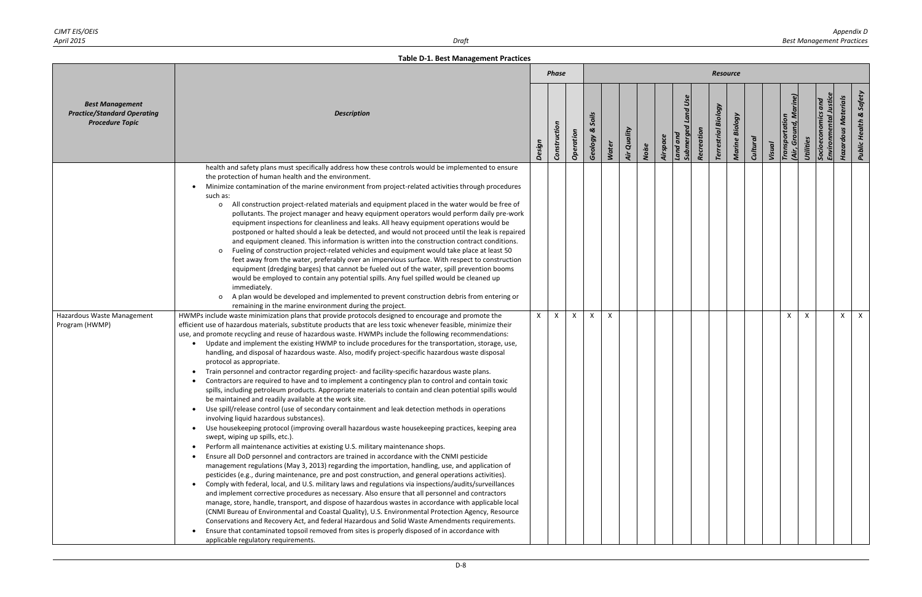|                                                                                        |                                                                                                                                                                                                                                                                                                                                                                                                                                                                                                                                                                                                                                                                                                                                                                                                                                                                                                                                                                                                                                                                                                                                                                                                                                                                                                                                                                                                                                                                                                                                                                                                                                                                                                                                                                                                                                                                                                                                                                                                                                                                                                                                                                                                                                                                                                                                                                                                                                                                                                                                                                                                                                                                                                                                                                                                                                                                                                                                                                                                                                                                                                                                                                                                                                                                                                                                                                                                                                                                                                                                                                                                                                                                                                                               |              | <b>Phase</b> |           |                       |              |             |       |          |                                |            | <b>Resource</b>            |                          |                 |        |                                    |                             |                |                            |                                   |
|----------------------------------------------------------------------------------------|-------------------------------------------------------------------------------------------------------------------------------------------------------------------------------------------------------------------------------------------------------------------------------------------------------------------------------------------------------------------------------------------------------------------------------------------------------------------------------------------------------------------------------------------------------------------------------------------------------------------------------------------------------------------------------------------------------------------------------------------------------------------------------------------------------------------------------------------------------------------------------------------------------------------------------------------------------------------------------------------------------------------------------------------------------------------------------------------------------------------------------------------------------------------------------------------------------------------------------------------------------------------------------------------------------------------------------------------------------------------------------------------------------------------------------------------------------------------------------------------------------------------------------------------------------------------------------------------------------------------------------------------------------------------------------------------------------------------------------------------------------------------------------------------------------------------------------------------------------------------------------------------------------------------------------------------------------------------------------------------------------------------------------------------------------------------------------------------------------------------------------------------------------------------------------------------------------------------------------------------------------------------------------------------------------------------------------------------------------------------------------------------------------------------------------------------------------------------------------------------------------------------------------------------------------------------------------------------------------------------------------------------------------------------------------------------------------------------------------------------------------------------------------------------------------------------------------------------------------------------------------------------------------------------------------------------------------------------------------------------------------------------------------------------------------------------------------------------------------------------------------------------------------------------------------------------------------------------------------------------------------------------------------------------------------------------------------------------------------------------------------------------------------------------------------------------------------------------------------------------------------------------------------------------------------------------------------------------------------------------------------------------------------------------------------------------------------------------------------|--------------|--------------|-----------|-----------------------|--------------|-------------|-------|----------|--------------------------------|------------|----------------------------|--------------------------|-----------------|--------|------------------------------------|-----------------------------|----------------|----------------------------|-----------------------------------|
| <b>Best Management</b><br><b>Practice/Standard Operating</b><br><b>Procedure Topic</b> | <b>Description</b>                                                                                                                                                                                                                                                                                                                                                                                                                                                                                                                                                                                                                                                                                                                                                                                                                                                                                                                                                                                                                                                                                                                                                                                                                                                                                                                                                                                                                                                                                                                                                                                                                                                                                                                                                                                                                                                                                                                                                                                                                                                                                                                                                                                                                                                                                                                                                                                                                                                                                                                                                                                                                                                                                                                                                                                                                                                                                                                                                                                                                                                                                                                                                                                                                                                                                                                                                                                                                                                                                                                                                                                                                                                                                                            | Design       | Construction | Operation | Soils<br>ಜ<br>Geology | Water        | Air Quality | Noise | Airspace | and Use<br>Land and<br>Submerg | Recreation | <b>Terrestrial Biology</b> | Biology<br><b>Marine</b> | <b>Cultural</b> | Visual | Transportation<br>Ground,<br>(Air, | Socioeconomics<br>Utilities | <b>Environ</b> | <b>Hazardous Materials</b> | <b>Public Health &amp; Safety</b> |
| Hazardous Waste Management<br>Program (HWMP)                                           | health and safety plans must specifically address how these controls would be implemented to ensure<br>the protection of human health and the environment.<br>Minimize contamination of the marine environment from project-related activities through procedures<br>such as:<br>All construction project-related materials and equipment placed in the water would be free of<br>$\mathsf{o}$<br>pollutants. The project manager and heavy equipment operators would perform daily pre-work<br>equipment inspections for cleanliness and leaks. All heavy equipment operations would be<br>postponed or halted should a leak be detected, and would not proceed until the leak is repaired<br>and equipment cleaned. This information is written into the construction contract conditions.<br>Fueling of construction project-related vehicles and equipment would take place at least 50<br>$\mathbf{o}$<br>feet away from the water, preferably over an impervious surface. With respect to construction<br>equipment (dredging barges) that cannot be fueled out of the water, spill prevention booms<br>would be employed to contain any potential spills. Any fuel spilled would be cleaned up<br>immediately.<br>A plan would be developed and implemented to prevent construction debris from entering or<br>$\mathsf{o}$<br>remaining in the marine environment during the project.<br>HWMPs include waste minimization plans that provide protocols designed to encourage and promote the<br>efficient use of hazardous materials, substitute products that are less toxic whenever feasible, minimize their<br>use, and promote recycling and reuse of hazardous waste. HWMPs include the following recommendations:<br>Update and implement the existing HWMP to include procedures for the transportation, storage, use,<br>handling, and disposal of hazardous waste. Also, modify project-specific hazardous waste disposal<br>protocol as appropriate.<br>Train personnel and contractor regarding project- and facility-specific hazardous waste plans.<br>Contractors are required to have and to implement a contingency plan to control and contain toxic<br>spills, including petroleum products. Appropriate materials to contain and clean potential spills would<br>be maintained and readily available at the work site.<br>Use spill/release control (use of secondary containment and leak detection methods in operations<br>involving liquid hazardous substances).<br>Use housekeeping protocol (improving overall hazardous waste housekeeping practices, keeping area<br>$\bullet$<br>swept, wiping up spills, etc.).<br>Perform all maintenance activities at existing U.S. military maintenance shops.<br>Ensure all DoD personnel and contractors are trained in accordance with the CNMI pesticide<br>management regulations (May 3, 2013) regarding the importation, handling, use, and application of<br>pesticides (e.g., during maintenance, pre and post construction, and general operations activities).<br>Comply with federal, local, and U.S. military laws and regulations via inspections/audits/surveillances<br>and implement corrective procedures as necessary. Also ensure that all personnel and contractors<br>manage, store, handle, transport, and dispose of hazardous wastes in accordance with applicable local<br>(CNMI Bureau of Environmental and Coastal Quality), U.S. Environmental Protection Agency, Resource<br>Conservations and Recovery Act, and federal Hazardous and Solid Waste Amendments requirements.<br>Ensure that contaminated topsoil removed from sites is properly disposed of in accordance with<br>applicable regulatory requirements. | $\mathsf{x}$ | X            | $\times$  | $\times$              | $\mathsf{x}$ |             |       |          |                                |            |                            |                          |                 |        | $\mathsf{x}$                       |                             |                | X                          | $\mathsf{X}$                      |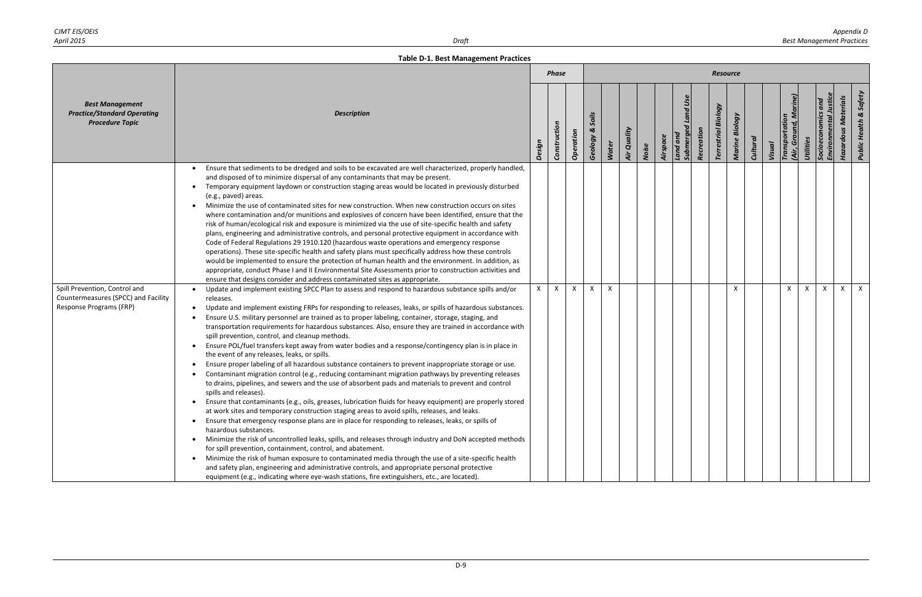|                                                                                                 |                                                                                                                                                                                                                                                                                                                                                                                                                                                                                                                                                                                                                                                                                                                                                                                                                                                                                                                                                                                                                                                                                                                                                                                                                                                                                                                                                                                                                                                                                                                                                                                                                                                                                                                                                                                                                                         |              | <b>Phase</b> |              |                           |              |             |       |          |                                       |            | <b>Resource</b>               |                          |                 |        |                                         |           |                                   |                            |                                   |
|-------------------------------------------------------------------------------------------------|-----------------------------------------------------------------------------------------------------------------------------------------------------------------------------------------------------------------------------------------------------------------------------------------------------------------------------------------------------------------------------------------------------------------------------------------------------------------------------------------------------------------------------------------------------------------------------------------------------------------------------------------------------------------------------------------------------------------------------------------------------------------------------------------------------------------------------------------------------------------------------------------------------------------------------------------------------------------------------------------------------------------------------------------------------------------------------------------------------------------------------------------------------------------------------------------------------------------------------------------------------------------------------------------------------------------------------------------------------------------------------------------------------------------------------------------------------------------------------------------------------------------------------------------------------------------------------------------------------------------------------------------------------------------------------------------------------------------------------------------------------------------------------------------------------------------------------------------|--------------|--------------|--------------|---------------------------|--------------|-------------|-------|----------|---------------------------------------|------------|-------------------------------|--------------------------|-----------------|--------|-----------------------------------------|-----------|-----------------------------------|----------------------------|-----------------------------------|
| <b>Best Management</b><br><b>Practice/Standard Operating</b><br><b>Procedure Topic</b>          | <b>Description</b>                                                                                                                                                                                                                                                                                                                                                                                                                                                                                                                                                                                                                                                                                                                                                                                                                                                                                                                                                                                                                                                                                                                                                                                                                                                                                                                                                                                                                                                                                                                                                                                                                                                                                                                                                                                                                      | Design       | Construction | Operation    | Soils<br>ಜ<br>Geology     | <b>Water</b> | Air Quality | Noise | Airspace | <b>Submerged Land Use</b><br>Land and | Recreation | Biology<br><b>Terrestrial</b> | Biology<br><b>Marine</b> | <b>Cultural</b> | Visual | (Air, Ground, Marine)<br>Transportation | Utilities | Socioeconomics<br><b>Environm</b> | <b>Hazardous Materials</b> | <b>Public Health &amp; Safety</b> |
|                                                                                                 | Ensure that sediments to be dredged and soils to be excavated are well characterized, properly handled,<br>and disposed of to minimize dispersal of any contaminants that may be present.<br>Temporary equipment laydown or construction staging areas would be located in previously disturbed<br>(e.g., paved) areas.<br>Minimize the use of contaminated sites for new construction. When new construction occurs on sites<br>where contamination and/or munitions and explosives of concern have been identified, ensure that the<br>risk of human/ecological risk and exposure is minimized via the use of site-specific health and safety<br>plans, engineering and administrative controls, and personal protective equipment in accordance with<br>Code of Federal Regulations 29 1910.120 (hazardous waste operations and emergency response<br>operations). These site-specific health and safety plans must specifically address how these controls<br>would be implemented to ensure the protection of human health and the environment. In addition, as<br>appropriate, conduct Phase I and II Environmental Site Assessments prior to construction activities and<br>ensure that designs consider and address contaminated sites as appropriate.                                                                                                                                                                                                                                                                                                                                                                                                                                                                                                                                                                          |              |              |              |                           |              |             |       |          |                                       |            |                               |                          |                 |        |                                         |           |                                   |                            |                                   |
| Spill Prevention, Control and<br>Countermeasures (SPCC) and Facility<br>Response Programs (FRP) | Update and implement existing SPCC Plan to assess and respond to hazardous substance spills and/or<br>releases.<br>Update and implement existing FRPs for responding to releases, leaks, or spills of hazardous substances.<br>Ensure U.S. military personnel are trained as to proper labeling, container, storage, staging, and<br>transportation requirements for hazardous substances. Also, ensure they are trained in accordance with<br>spill prevention, control, and cleanup methods.<br>Ensure POL/fuel transfers kept away from water bodies and a response/contingency plan is in place in<br>the event of any releases, leaks, or spills.<br>Ensure proper labeling of all hazardous substance containers to prevent inappropriate storage or use.<br>Contaminant migration control (e.g., reducing contaminant migration pathways by preventing releases<br>to drains, pipelines, and sewers and the use of absorbent pads and materials to prevent and control<br>spills and releases).<br>Ensure that contaminants (e.g., oils, greases, lubrication fluids for heavy equipment) are properly stored<br>at work sites and temporary construction staging areas to avoid spills, releases, and leaks.<br>Ensure that emergency response plans are in place for responding to releases, leaks, or spills of<br>hazardous substances.<br>• Minimize the risk of uncontrolled leaks, spills, and releases through industry and DoN accepted methods<br>for spill prevention, containment, control, and abatement.<br>• Minimize the risk of human exposure to contaminated media through the use of a site-specific health<br>and safety plan, engineering and administrative controls, and appropriate personal protective<br>equipment (e.g., indicating where eye-wash stations, fire extinguishers, etc., are located). | $\mathsf{x}$ | $\mathsf{X}$ | $\mathsf{X}$ | $\boldsymbol{\mathsf{X}}$ | $\times$     |             |       |          |                                       |            |                               | X                        |                 |        | $\mathsf{x}$                            | X         | $\mathsf{X}$                      | X                          | $\mathsf{X}$                      |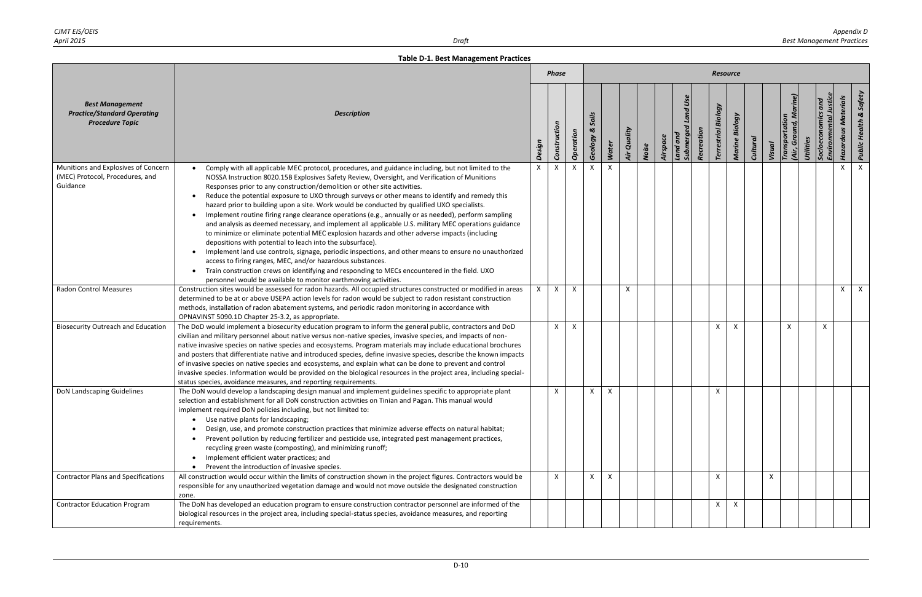|                                                                                        |                                                                                                                                                                                                                                                                                                                                                                                                                                                                                                                                                                                                                                                                                                                                                                                                                                                                                                                                                                                                                                                                                                                                                                                                                        |        | <b>Phase</b> |           |                       |       |              |       |          |                                                |            | Resource                      |                   |                 |        |                              |           |                    |                            |                                   |
|----------------------------------------------------------------------------------------|------------------------------------------------------------------------------------------------------------------------------------------------------------------------------------------------------------------------------------------------------------------------------------------------------------------------------------------------------------------------------------------------------------------------------------------------------------------------------------------------------------------------------------------------------------------------------------------------------------------------------------------------------------------------------------------------------------------------------------------------------------------------------------------------------------------------------------------------------------------------------------------------------------------------------------------------------------------------------------------------------------------------------------------------------------------------------------------------------------------------------------------------------------------------------------------------------------------------|--------|--------------|-----------|-----------------------|-------|--------------|-------|----------|------------------------------------------------|------------|-------------------------------|-------------------|-----------------|--------|------------------------------|-----------|--------------------|----------------------------|-----------------------------------|
| <b>Best Management</b><br><b>Practice/Standard Operating</b><br><b>Procedure Topic</b> | <b>Description</b>                                                                                                                                                                                                                                                                                                                                                                                                                                                                                                                                                                                                                                                                                                                                                                                                                                                                                                                                                                                                                                                                                                                                                                                                     | Design | Construction | Operation | Soils<br>ಜ<br>Geology | Water | Air Quality  | Noise | Airspace | <b>Land Use</b><br>Land and<br><b>Submergo</b> | Recreation | Biology<br><b>Terrestrial</b> | Biology<br>Marine | <b>Cultural</b> | Visual | Transportation<br>Ğ<br>(Air, | Utilities | Environ<br>Socioec | <b>Hazardous Materials</b> | <b>Public Health &amp; Safety</b> |
| Munitions and Explosives of Concern<br>(MEC) Protocol, Procedures, and<br>Guidance     | Comply with all applicable MEC protocol, procedures, and guidance including, but not limited to the<br>NOSSA Instruction 8020.15B Explosives Safety Review, Oversight, and Verification of Munitions<br>Responses prior to any construction/demolition or other site activities.<br>Reduce the potential exposure to UXO through surveys or other means to identify and remedy this<br>hazard prior to building upon a site. Work would be conducted by qualified UXO specialists.<br>Implement routine firing range clearance operations (e.g., annually or as needed), perform sampling<br>and analysis as deemed necessary, and implement all applicable U.S. military MEC operations guidance<br>to minimize or eliminate potential MEC explosion hazards and other adverse impacts (including<br>depositions with potential to leach into the subsurface).<br>Implement land use controls, signage, periodic inspections, and other means to ensure no unauthorized<br>$\bullet$<br>access to firing ranges, MEC, and/or hazardous substances.<br>Train construction crews on identifying and responding to MECs encountered in the field. UXO<br>personnel would be available to monitor earthmoving activities. | X      |              |           |                       |       |              |       |          |                                                |            |                               |                   |                 |        |                              |           |                    |                            | $\mathsf{x}$                      |
| <b>Radon Control Measures</b>                                                          | Construction sites would be assessed for radon hazards. All occupied structures constructed or modified in areas<br>determined to be at or above USEPA action levels for radon would be subject to radon resistant construction<br>methods, installation of radon abatement systems, and periodic radon monitoring in accordance with<br>OPNAVINST 5090.1D Chapter 25-3.2, as appropriate.                                                                                                                                                                                                                                                                                                                                                                                                                                                                                                                                                                                                                                                                                                                                                                                                                             |        | $\mathsf{X}$ | X         |                       |       | $\mathsf{X}$ |       |          |                                                |            |                               |                   |                 |        |                              |           |                    | $\times$                   | $\mathsf{X}$                      |
| <b>Biosecurity Outreach and Education</b>                                              | The DoD would implement a biosecurity education program to inform the general public, contractors and DoD<br>civilian and military personnel about native versus non-native species, invasive species, and impacts of non-<br>native invasive species on native species and ecosystems. Program materials may include educational brochures<br>and posters that differentiate native and introduced species, define invasive species, describe the known impacts<br>of invasive species on native species and ecosystems, and explain what can be done to prevent and control<br>invasive species. Information would be provided on the biological resources in the project area, including special-<br>status species, avoidance measures, and reporting requirements.                                                                                                                                                                                                                                                                                                                                                                                                                                                |        | $\mathsf{X}$ | X         |                       |       |              |       |          |                                                |            | X                             | X                 |                 |        | $\mathsf{x}$                 |           | $\mathsf{X}$       |                            |                                   |
| DoN Landscaping Guidelines                                                             | The DoN would develop a landscaping design manual and implement guidelines specific to appropriate plant<br>selection and establishment for all DoN construction activities on Tinian and Pagan. This manual would<br>implement required DoN policies including, but not limited to:<br>• Use native plants for landscaping;<br>Design, use, and promote construction practices that minimize adverse effects on natural habitat;<br>Prevent pollution by reducing fertilizer and pesticide use, integrated pest management practices,<br>recycling green waste (composting), and minimizing runoff;<br>Implement efficient water practices; and<br>• Prevent the introduction of invasive species.                                                                                                                                                                                                                                                                                                                                                                                                                                                                                                                    |        | $\mathsf{X}$ |           | X                     | X     |              |       |          |                                                |            | X                             |                   |                 |        |                              |           |                    |                            |                                   |
| <b>Contractor Plans and Specifications</b>                                             | All construction would occur within the limits of construction shown in the project figures. Contractors would be<br>responsible for any unauthorized vegetation damage and would not move outside the designated construction<br>zone.                                                                                                                                                                                                                                                                                                                                                                                                                                                                                                                                                                                                                                                                                                                                                                                                                                                                                                                                                                                |        | $\mathsf{X}$ |           | $\times$              | X     |              |       |          |                                                |            | X                             |                   |                 | X      |                              |           |                    |                            |                                   |
| <b>Contractor Education Program</b>                                                    | The DoN has developed an education program to ensure construction contractor personnel are informed of the<br>biological resources in the project area, including special-status species, avoidance measures, and reporting<br>requirements.                                                                                                                                                                                                                                                                                                                                                                                                                                                                                                                                                                                                                                                                                                                                                                                                                                                                                                                                                                           |        |              |           |                       |       |              |       |          |                                                |            | X                             | X                 |                 |        |                              |           |                    |                            |                                   |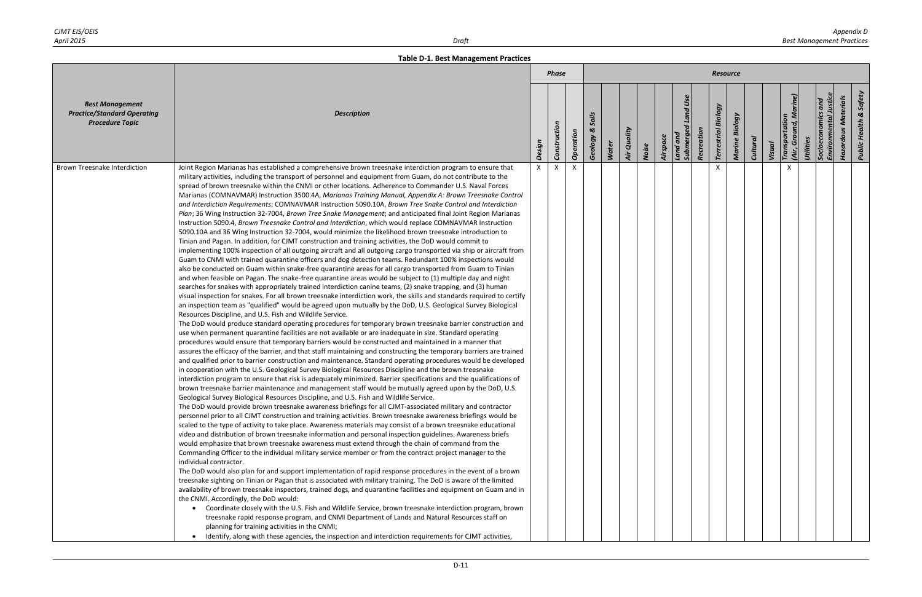|                                                                                        |                                                                                                                                                                                                                                                                                                                                                                                                                                                                                                                                                                                                                                                                                                                                                                                                                                                                                                                                                                                                                                                                                                                                                                                                                                                                                                                                                                                                                                                                                                                                                                                                                                                                                                                                                                                                                                                                                                                                                                                                                                                                                                                                                                                                                                                                                                                                                                                                                                                                                                                                                                                                                                                                                                                                                                                                                                                                                                                                                                                                                                                                                                                                                                                                                                                                                                                                                                                                                                                                                                                                                                                                                                                                                                                                                                                                                                                                                                                                                                                                                                                                                                                                                                                                                                                                                                                                                                                             |          | <b>Phase</b> |              |                       |              |             |       |          |                                   |            | <b>Resource</b>               |                   |                 |        |                                                      |                                                |                            |                                   |
|----------------------------------------------------------------------------------------|---------------------------------------------------------------------------------------------------------------------------------------------------------------------------------------------------------------------------------------------------------------------------------------------------------------------------------------------------------------------------------------------------------------------------------------------------------------------------------------------------------------------------------------------------------------------------------------------------------------------------------------------------------------------------------------------------------------------------------------------------------------------------------------------------------------------------------------------------------------------------------------------------------------------------------------------------------------------------------------------------------------------------------------------------------------------------------------------------------------------------------------------------------------------------------------------------------------------------------------------------------------------------------------------------------------------------------------------------------------------------------------------------------------------------------------------------------------------------------------------------------------------------------------------------------------------------------------------------------------------------------------------------------------------------------------------------------------------------------------------------------------------------------------------------------------------------------------------------------------------------------------------------------------------------------------------------------------------------------------------------------------------------------------------------------------------------------------------------------------------------------------------------------------------------------------------------------------------------------------------------------------------------------------------------------------------------------------------------------------------------------------------------------------------------------------------------------------------------------------------------------------------------------------------------------------------------------------------------------------------------------------------------------------------------------------------------------------------------------------------------------------------------------------------------------------------------------------------------------------------------------------------------------------------------------------------------------------------------------------------------------------------------------------------------------------------------------------------------------------------------------------------------------------------------------------------------------------------------------------------------------------------------------------------------------------------------------------------------------------------------------------------------------------------------------------------------------------------------------------------------------------------------------------------------------------------------------------------------------------------------------------------------------------------------------------------------------------------------------------------------------------------------------------------------------------------------------------------------------------------------------------------------------------------------------------------------------------------------------------------------------------------------------------------------------------------------------------------------------------------------------------------------------------------------------------------------------------------------------------------------------------------------------------------------------------------------------------------------------------------------------------------|----------|--------------|--------------|-----------------------|--------------|-------------|-------|----------|-----------------------------------|------------|-------------------------------|-------------------|-----------------|--------|------------------------------------------------------|------------------------------------------------|----------------------------|-----------------------------------|
| <b>Best Management</b><br><b>Practice/Standard Operating</b><br><b>Procedure Topic</b> | <b>Description</b>                                                                                                                                                                                                                                                                                                                                                                                                                                                                                                                                                                                                                                                                                                                                                                                                                                                                                                                                                                                                                                                                                                                                                                                                                                                                                                                                                                                                                                                                                                                                                                                                                                                                                                                                                                                                                                                                                                                                                                                                                                                                                                                                                                                                                                                                                                                                                                                                                                                                                                                                                                                                                                                                                                                                                                                                                                                                                                                                                                                                                                                                                                                                                                                                                                                                                                                                                                                                                                                                                                                                                                                                                                                                                                                                                                                                                                                                                                                                                                                                                                                                                                                                                                                                                                                                                                                                                                          | Design   | Construction | Operation    | Soils<br>ಜ<br>Geology | <b>Water</b> | Air Quality | Noise | Airspace | Land Use<br>Submerged<br>Land and | Recreation | Biology<br><b>Terrestrial</b> | Biology<br>Marine | <b>Cultural</b> | Visual | (Air, Ground, Marine)<br>Transportation<br>Utilities | $\overline{and}$<br>Socioeconomics<br>Environm | <b>Hazardous Materials</b> | <b>Public Health &amp; Safety</b> |
| <b>Brown Treesnake Interdiction</b>                                                    | Joint Region Marianas has established a comprehensive brown treesnake interdiction program to ensure that<br>military activities, including the transport of personnel and equipment from Guam, do not contribute to the<br>spread of brown treesnake within the CNMI or other locations. Adherence to Commander U.S. Naval Forces<br>Marianas (COMNAVMAR) Instruction 3500.4A, Marianas Training Manual, Appendix A: Brown Treesnake Control<br>and Interdiction Requirements; COMNAVMAR Instruction 5090.10A, Brown Tree Snake Control and Interdiction<br>Plan; 36 Wing Instruction 32-7004, Brown Tree Snake Management; and anticipated final Joint Region Marianas<br>Instruction 5090.4, Brown Treesnake Control and Interdiction, which would replace COMNAVMAR Instruction<br>5090.10A and 36 Wing Instruction 32-7004, would minimize the likelihood brown treesnake introduction to<br>Tinian and Pagan. In addition, for CJMT construction and training activities, the DoD would commit to<br>implementing 100% inspection of all outgoing aircraft and all outgoing cargo transported via ship or aircraft from<br>Guam to CNMI with trained quarantine officers and dog detection teams. Redundant 100% inspections would<br>also be conducted on Guam within snake-free quarantine areas for all cargo transported from Guam to Tinian<br>and when feasible on Pagan. The snake-free quarantine areas would be subject to (1) multiple day and night<br>searches for snakes with appropriately trained interdiction canine teams, (2) snake trapping, and (3) human<br>visual inspection for snakes. For all brown treesnake interdiction work, the skills and standards required to certify<br>an inspection team as "qualified" would be agreed upon mutually by the DoD, U.S. Geological Survey Biological<br>Resources Discipline, and U.S. Fish and Wildlife Service.<br>The DoD would produce standard operating procedures for temporary brown treesnake barrier construction and<br>use when permanent quarantine facilities are not available or are inadequate in size. Standard operating<br>procedures would ensure that temporary barriers would be constructed and maintained in a manner that<br>assures the efficacy of the barrier, and that staff maintaining and constructing the temporary barriers are trained<br>and qualified prior to barrier construction and maintenance. Standard operating procedures would be developed<br>in cooperation with the U.S. Geological Survey Biological Resources Discipline and the brown treesnake<br>interdiction program to ensure that risk is adequately minimized. Barrier specifications and the qualifications of<br>brown treesnake barrier maintenance and management staff would be mutually agreed upon by the DoD, U.S.<br>Geological Survey Biological Resources Discipline, and U.S. Fish and Wildlife Service.<br>The DoD would provide brown treesnake awareness briefings for all CJMT-associated military and contractor<br>personnel prior to all CJMT construction and training activities. Brown treesnake awareness briefings would be<br>scaled to the type of activity to take place. Awareness materials may consist of a brown treesnake educational<br>video and distribution of brown treesnake information and personal inspection guidelines. Awareness briefs<br>would emphasize that brown treesnake awareness must extend through the chain of command from the<br>Commanding Officer to the individual military service member or from the contract project manager to the<br>individual contractor.<br>The DoD would also plan for and support implementation of rapid response procedures in the event of a brown<br>treesnake sighting on Tinian or Pagan that is associated with military training. The DoD is aware of the limited<br>availability of brown treesnake inspectors, trained dogs, and quarantine facilities and equipment on Guam and in<br>the CNMI. Accordingly, the DoD would:<br>• Coordinate closely with the U.S. Fish and Wildlife Service, brown treesnake interdiction program, brown<br>treesnake rapid response program, and CNMI Department of Lands and Natural Resources staff on<br>planning for training activities in the CNMI;<br>Identify, along with these agencies, the inspection and interdiction requirements for CJMT activities, | $\times$ | $\times$     | $\mathsf{X}$ |                       |              |             |       |          |                                   |            | X                             |                   |                 |        | $\times$                                             |                                                |                            |                                   |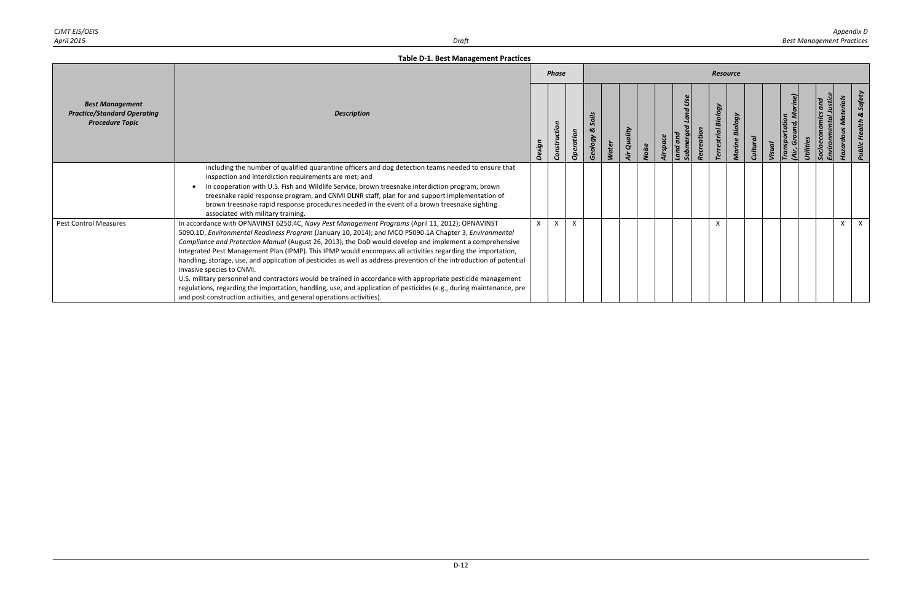| CJMT EIS/OEIS |      | Appendix D                       |
|---------------|------|----------------------------------|
| April 2015    | υraπ | <b>Best Management Practices</b> |

|                                                                                        |                                                                                                                                                                                                                                                                                                                                                                                                                                                                                                                                                                                                                                                                                                                                                                                                                                                                                                          |        | <b>Phase</b> |           |                       |       |                |       |          |                   |            | <b>Resource</b>               |                   |                |        |                                              |           |                         |                        |        |
|----------------------------------------------------------------------------------------|----------------------------------------------------------------------------------------------------------------------------------------------------------------------------------------------------------------------------------------------------------------------------------------------------------------------------------------------------------------------------------------------------------------------------------------------------------------------------------------------------------------------------------------------------------------------------------------------------------------------------------------------------------------------------------------------------------------------------------------------------------------------------------------------------------------------------------------------------------------------------------------------------------|--------|--------------|-----------|-----------------------|-------|----------------|-------|----------|-------------------|------------|-------------------------------|-------------------|----------------|--------|----------------------------------------------|-----------|-------------------------|------------------------|--------|
| <b>Best Management</b><br><b>Practice/Standard Operating</b><br><b>Procedure Topic</b> | <b>Description</b>                                                                                                                                                                                                                                                                                                                                                                                                                                                                                                                                                                                                                                                                                                                                                                                                                                                                                       | Design | Construction | Operation | Soils<br>ಜ<br>Geology | Water | Quality<br>Air | Noise | Airspace | Land and<br>Subme | Recreation | Biology<br><b>Terrestrial</b> | Biology<br>Marine | <b>Cultura</b> | Visual | Marine)<br>Transportation<br>(Air, Ground, M | Utilities | and<br>Socioe<br>Envira | Materials<br>Hazardous | Public |
|                                                                                        | including the number of qualified quarantine officers and dog detection teams needed to ensure that<br>inspection and interdiction requirements are met; and<br>In cooperation with U.S. Fish and Wildlife Service, brown treesnake interdiction program, brown<br>treesnake rapid response program, and CNMI DLNR staff, plan for and support implementation of<br>brown treesnake rapid response procedures needed in the event of a brown treesnake sighting<br>associated with military training.                                                                                                                                                                                                                                                                                                                                                                                                    |        |              |           |                       |       |                |       |          |                   |            |                               |                   |                |        |                                              |           |                         |                        |        |
| <b>Pest Control Measures</b>                                                           | In accordance with OPNAVINST 6250.4C, Navy Pest Management Programs (April 11, 2012); OPNAVINST<br>5090.1D, Environmental Readiness Program (January 10, 2014); and MCO P5090.1A Chapter 3, Environmental<br>Compliance and Protection Manual (August 26, 2013), the DoD would develop and implement a comprehensive<br>Integrated Pest Management Plan (IPMP). This IPMP would encompass all activities regarding the importation,<br>handling, storage, use, and application of pesticides as well as address prevention of the introduction of potential<br>invasive species to CNMI.<br>U.S. military personnel and contractors would be trained in accordance with appropriate pesticide management<br>regulations, regarding the importation, handling, use, and application of pesticides (e.g., during maintenance, pre<br>and post construction activities, and general operations activities). |        | $\mathsf{x}$ |           |                       |       |                |       |          |                   |            |                               |                   |                |        |                                              |           |                         | $\mathsf{x}$           |        |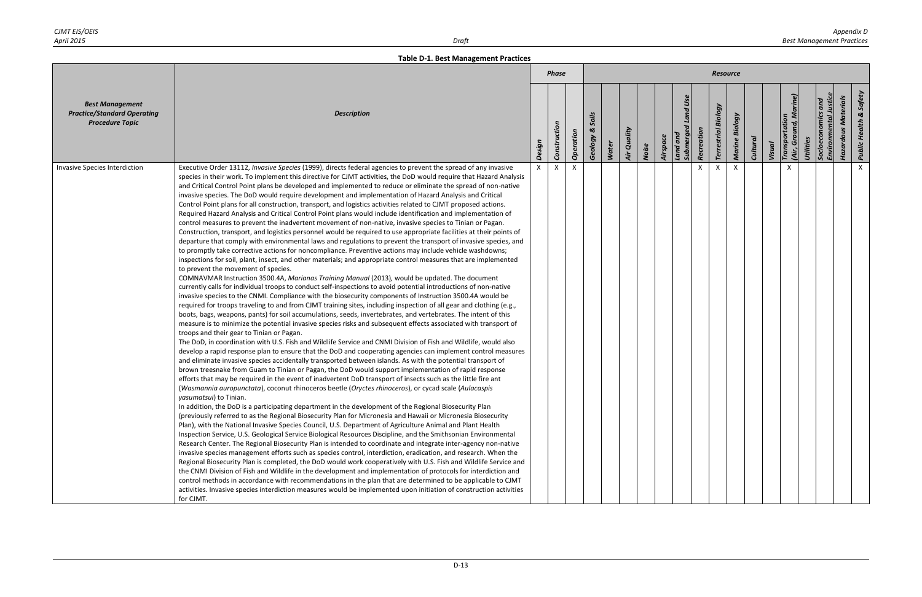|                                                                                        |                                                                                                                                                                                                                                                                                                                                                                                                                                                                                                                                                                                                                                                                                                                                                                                                                                                                                                                                                                                                                                                                                                                                                                                                                                                                                                                                                                                                                                                                                                                                                                                                                                                                                                                                                                                                                                                                                                                                                                                                                                                                                                                                                                                                                                                                                                                                                                                                                                                                                                                                                                                                                                                                                                                                                                                                                                                                                                                                                                                                                                                                                                                                                                                                                                                                                                                                                                                                                                                                                                                                                                                                                                                                                                                                                                                                                                                                                                                                                                             |        | <b>Phase</b> |           |                       |       |             |       |          |                                   |            | Resource                   |                   |                 |        |                                 |           |                            |                            |                                   |
|----------------------------------------------------------------------------------------|-----------------------------------------------------------------------------------------------------------------------------------------------------------------------------------------------------------------------------------------------------------------------------------------------------------------------------------------------------------------------------------------------------------------------------------------------------------------------------------------------------------------------------------------------------------------------------------------------------------------------------------------------------------------------------------------------------------------------------------------------------------------------------------------------------------------------------------------------------------------------------------------------------------------------------------------------------------------------------------------------------------------------------------------------------------------------------------------------------------------------------------------------------------------------------------------------------------------------------------------------------------------------------------------------------------------------------------------------------------------------------------------------------------------------------------------------------------------------------------------------------------------------------------------------------------------------------------------------------------------------------------------------------------------------------------------------------------------------------------------------------------------------------------------------------------------------------------------------------------------------------------------------------------------------------------------------------------------------------------------------------------------------------------------------------------------------------------------------------------------------------------------------------------------------------------------------------------------------------------------------------------------------------------------------------------------------------------------------------------------------------------------------------------------------------------------------------------------------------------------------------------------------------------------------------------------------------------------------------------------------------------------------------------------------------------------------------------------------------------------------------------------------------------------------------------------------------------------------------------------------------------------------------------------------------------------------------------------------------------------------------------------------------------------------------------------------------------------------------------------------------------------------------------------------------------------------------------------------------------------------------------------------------------------------------------------------------------------------------------------------------------------------------------------------------------------------------------------------------------------------------------------------------------------------------------------------------------------------------------------------------------------------------------------------------------------------------------------------------------------------------------------------------------------------------------------------------------------------------------------------------------------------------------------------------------------------------------------------------|--------|--------------|-----------|-----------------------|-------|-------------|-------|----------|-----------------------------------|------------|----------------------------|-------------------|-----------------|--------|---------------------------------|-----------|----------------------------|----------------------------|-----------------------------------|
| <b>Best Management</b><br><b>Practice/Standard Operating</b><br><b>Procedure Topic</b> | <b>Description</b>                                                                                                                                                                                                                                                                                                                                                                                                                                                                                                                                                                                                                                                                                                                                                                                                                                                                                                                                                                                                                                                                                                                                                                                                                                                                                                                                                                                                                                                                                                                                                                                                                                                                                                                                                                                                                                                                                                                                                                                                                                                                                                                                                                                                                                                                                                                                                                                                                                                                                                                                                                                                                                                                                                                                                                                                                                                                                                                                                                                                                                                                                                                                                                                                                                                                                                                                                                                                                                                                                                                                                                                                                                                                                                                                                                                                                                                                                                                                                          | Design | Construction | Operation | Soils<br>ಜ<br>Geology | Water | Air Quality | Noise | Airspace | Land Use<br>Submerged<br>Land and | Recreation | <b>Terrestrial Biology</b> | Biology<br>Marine | <b>Cultural</b> | Visual | Transportation<br>Grou<br>(Air, | Utilities | Socioeconomics<br>Environm | <b>Hazardous Materials</b> | <b>Public Health &amp; Safety</b> |
| Invasive Species Interdiction                                                          | Executive Order 13112, Invasive Species (1999), directs federal agencies to prevent the spread of any invasive<br>species in their work. To implement this directive for CJMT activities, the DoD would require that Hazard Analysis<br>and Critical Control Point plans be developed and implemented to reduce or eliminate the spread of non-native<br>invasive species. The DoD would require development and implementation of Hazard Analysis and Critical<br>Control Point plans for all construction, transport, and logistics activities related to CJMT proposed actions.<br>Required Hazard Analysis and Critical Control Point plans would include identification and implementation of<br>control measures to prevent the inadvertent movement of non-native, invasive species to Tinian or Pagan.<br>Construction, transport, and logistics personnel would be required to use appropriate facilities at their points of<br>departure that comply with environmental laws and regulations to prevent the transport of invasive species, and<br>to promptly take corrective actions for noncompliance. Preventive actions may include vehicle washdowns;<br>inspections for soil, plant, insect, and other materials; and appropriate control measures that are implemented<br>to prevent the movement of species.<br>COMNAVMAR Instruction 3500.4A, Marianas Training Manual (2013), would be updated. The document<br>currently calls for individual troops to conduct self-inspections to avoid potential introductions of non-native<br>invasive species to the CNMI. Compliance with the biosecurity components of Instruction 3500.4A would be<br>required for troops traveling to and from CJMT training sites, including inspection of all gear and clothing (e.g.,<br>boots, bags, weapons, pants) for soil accumulations, seeds, invertebrates, and vertebrates. The intent of this<br>measure is to minimize the potential invasive species risks and subsequent effects associated with transport of<br>troops and their gear to Tinian or Pagan.<br>The DoD, in coordination with U.S. Fish and Wildlife Service and CNMI Division of Fish and Wildlife, would also<br>develop a rapid response plan to ensure that the DoD and cooperating agencies can implement control measures<br>and eliminate invasive species accidentally transported between islands. As with the potential transport of<br>brown treesnake from Guam to Tinian or Pagan, the DoD would support implementation of rapid response<br>efforts that may be required in the event of inadvertent DoD transport of insects such as the little fire ant<br>(Wasmannia auropunctata), coconut rhinoceros beetle (Oryctes rhinoceros), or cycad scale (Aulacaspis<br>yasumatsui) to Tinian.<br>In addition, the DoD is a participating department in the development of the Regional Biosecurity Plan<br>(previously referred to as the Regional Biosecurity Plan for Micronesia and Hawaii or Micronesia Biosecurity<br>Plan), with the National Invasive Species Council, U.S. Department of Agriculture Animal and Plant Health<br>Inspection Service, U.S. Geological Service Biological Resources Discipline, and the Smithsonian Environmental<br>Research Center. The Regional Biosecurity Plan is intended to coordinate and integrate inter-agency non-native<br>invasive species management efforts such as species control, interdiction, eradication, and research. When the<br>Regional Biosecurity Plan is completed, the DoD would work cooperatively with U.S. Fish and Wildlife Service and<br>the CNMI Division of Fish and Wildlife in the development and implementation of protocols for interdiction and<br>control methods in accordance with recommendations in the plan that are determined to be applicable to CJMT<br>activities. Invasive species interdiction measures would be implemented upon initiation of construction activities<br>for CJMT. |        | X            | $\times$  |                       |       |             |       |          |                                   | X          | $\times$                   | $\mathsf{x}$      |                 |        |                                 |           |                            |                            | $\mathsf{X}$                      |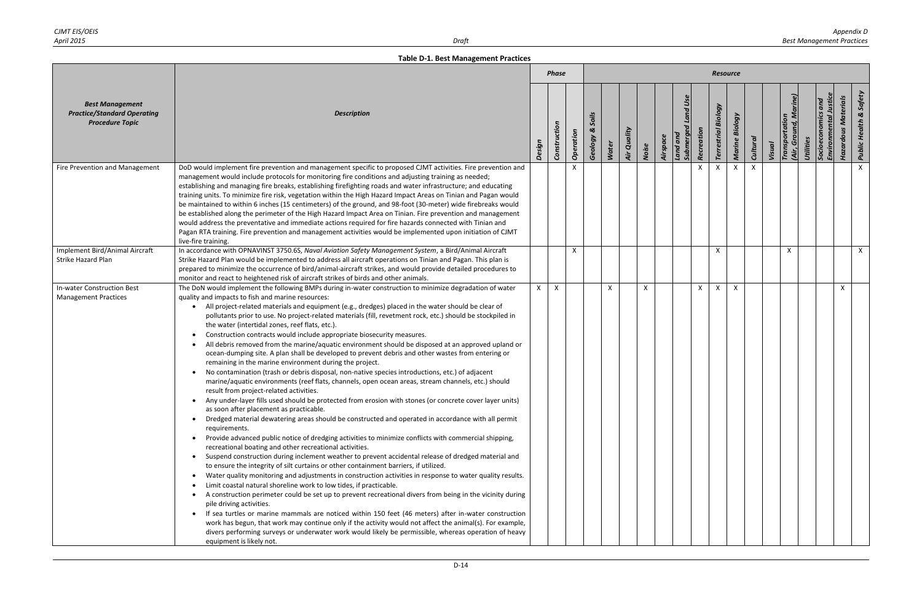|                                                                                        |                                                                                                                                                                                                                                                                                                                                                                                                                                                                                                                                                                                                                                                                                                                                                                                                                                                                                                                                                                                                                                                                                                                                                                                                                                                                                                                                                                                                                                                                                                                                                                                                                                                                                                                                                                                                                                                                                                                                                                                                                                                                                                                                                                                                                                                                                                                                                                                                                       |        | <b>Phase</b> |           |                                           |              |             |       |          |                                   |              | <b>Resource</b>            |                |                 |        |                                 |           |                      |                            |                                   |
|----------------------------------------------------------------------------------------|-----------------------------------------------------------------------------------------------------------------------------------------------------------------------------------------------------------------------------------------------------------------------------------------------------------------------------------------------------------------------------------------------------------------------------------------------------------------------------------------------------------------------------------------------------------------------------------------------------------------------------------------------------------------------------------------------------------------------------------------------------------------------------------------------------------------------------------------------------------------------------------------------------------------------------------------------------------------------------------------------------------------------------------------------------------------------------------------------------------------------------------------------------------------------------------------------------------------------------------------------------------------------------------------------------------------------------------------------------------------------------------------------------------------------------------------------------------------------------------------------------------------------------------------------------------------------------------------------------------------------------------------------------------------------------------------------------------------------------------------------------------------------------------------------------------------------------------------------------------------------------------------------------------------------------------------------------------------------------------------------------------------------------------------------------------------------------------------------------------------------------------------------------------------------------------------------------------------------------------------------------------------------------------------------------------------------------------------------------------------------------------------------------------------------|--------|--------------|-----------|-------------------------------------------|--------------|-------------|-------|----------|-----------------------------------|--------------|----------------------------|----------------|-----------------|--------|---------------------------------|-----------|----------------------|----------------------------|-----------------------------------|
| <b>Best Management</b><br><b>Practice/Standard Operating</b><br><b>Procedure Topic</b> | <b>Description</b>                                                                                                                                                                                                                                                                                                                                                                                                                                                                                                                                                                                                                                                                                                                                                                                                                                                                                                                                                                                                                                                                                                                                                                                                                                                                                                                                                                                                                                                                                                                                                                                                                                                                                                                                                                                                                                                                                                                                                                                                                                                                                                                                                                                                                                                                                                                                                                                                    | Design | Construction | Operation | Soils<br>$\boldsymbol{\alpha}$<br>Geology | <b>Water</b> | Air Quality | Noise | Airspace | Land Use<br>Submerged<br>Land and | Recreation   | <b>Terrestrial Biology</b> | Marine Biology | <b>Cultural</b> | Visual | Transportation<br>Grou<br>(Air, | Utilities | Environn<br>Socioeco | <b>Hazardous Materials</b> | <b>Public Health &amp; Safety</b> |
| Fire Prevention and Management                                                         | DoD would implement fire prevention and management specific to proposed CJMT activities. Fire prevention and<br>management would include protocols for monitoring fire conditions and adjusting training as needed;<br>establishing and managing fire breaks, establishing firefighting roads and water infrastructure; and educating<br>training units. To minimize fire risk, vegetation within the High Hazard Impact Areas on Tinian and Pagan would<br>be maintained to within 6 inches (15 centimeters) of the ground, and 98-foot (30-meter) wide firebreaks would<br>be established along the perimeter of the High Hazard Impact Area on Tinian. Fire prevention and management<br>would address the preventative and immediate actions required for fire hazards connected with Tinian and<br>Pagan RTA training. Fire prevention and management activities would be implemented upon initiation of CJMT<br>live-fire training.                                                                                                                                                                                                                                                                                                                                                                                                                                                                                                                                                                                                                                                                                                                                                                                                                                                                                                                                                                                                                                                                                                                                                                                                                                                                                                                                                                                                                                                                             |        |              | x         |                                           |              |             |       |          |                                   | X            |                            | X              |                 |        |                                 |           |                      |                            | $\mathsf{X}$                      |
| Implement Bird/Animal Aircraft<br><b>Strike Hazard Plan</b>                            | In accordance with OPNAVINST 3750.6S, Naval Aviation Safety Management System, a Bird/Animal Aircraft<br>Strike Hazard Plan would be implemented to address all aircraft operations on Tinian and Pagan. This plan is<br>prepared to minimize the occurrence of bird/animal-aircraft strikes, and would provide detailed procedures to<br>monitor and react to heightened risk of aircraft strikes of birds and other animals.                                                                                                                                                                                                                                                                                                                                                                                                                                                                                                                                                                                                                                                                                                                                                                                                                                                                                                                                                                                                                                                                                                                                                                                                                                                                                                                                                                                                                                                                                                                                                                                                                                                                                                                                                                                                                                                                                                                                                                                        |        |              | X         |                                           |              |             |       |          |                                   |              | X                          |                |                 |        | $\mathsf{x}$                    |           |                      |                            | $\mathsf{X}$                      |
| In-water Construction Best<br><b>Management Practices</b>                              | The DoN would implement the following BMPs during in-water construction to minimize degradation of water<br>quality and impacts to fish and marine resources:<br>All project-related materials and equipment (e.g., dredges) placed in the water should be clear of<br>pollutants prior to use. No project-related materials (fill, revetment rock, etc.) should be stockpiled in<br>the water (intertidal zones, reef flats, etc.).<br>Construction contracts would include appropriate biosecurity measures.<br>All debris removed from the marine/aquatic environment should be disposed at an approved upland or<br>ocean-dumping site. A plan shall be developed to prevent debris and other wastes from entering or<br>remaining in the marine environment during the project.<br>No contamination (trash or debris disposal, non-native species introductions, etc.) of adjacent<br>marine/aquatic environments (reef flats, channels, open ocean areas, stream channels, etc.) should<br>result from project-related activities.<br>• Any under-layer fills used should be protected from erosion with stones (or concrete cover layer units)<br>as soon after placement as practicable.<br>Dredged material dewatering areas should be constructed and operated in accordance with all permit<br>$\bullet$<br>requirements.<br>Provide advanced public notice of dredging activities to minimize conflicts with commercial shipping,<br>recreational boating and other recreational activities.<br>Suspend construction during inclement weather to prevent accidental release of dredged material and<br>to ensure the integrity of silt curtains or other containment barriers, if utilized.<br>Water quality monitoring and adjustments in construction activities in response to water quality results.<br>$\bullet$<br>Limit coastal natural shoreline work to low tides, if practicable.<br>A construction perimeter could be set up to prevent recreational divers from being in the vicinity during<br>pile driving activities.<br>If sea turtles or marine mammals are noticed within 150 feet (46 meters) after in-water construction<br>$\bullet$<br>work has begun, that work may continue only if the activity would not affect the animal(s). For example,<br>divers performing surveys or underwater work would likely be permissible, whereas operation of heavy<br>equipment is likely not. | X      | $\mathsf{X}$ |           |                                           | X            |             | X     |          |                                   | $\mathsf{x}$ | $\mathsf{X}$               | $\mathsf{x}$   |                 |        |                                 |           |                      | X                          |                                   |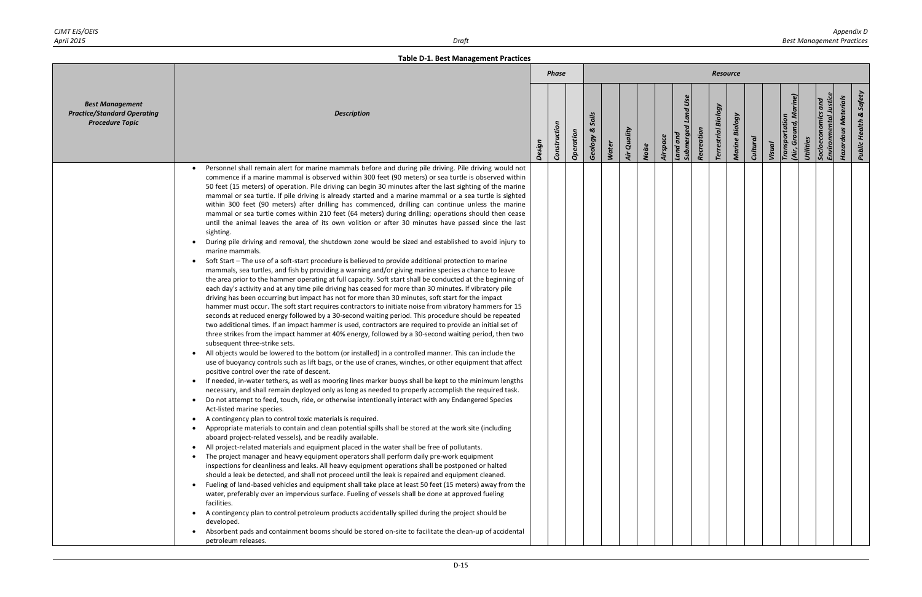|                                                                                        |                                                                                                                                                                                                                                                                                                                                                                                                                                                                                                                                                                                                                                                                                                                                                                                                                                                                                                                                                                                                                                                                                                                                                                                                                                                                                                                                                                                                                                                                                                                                                                                                                                                                                                                                                                                                                                                                                                                                                                                                                                                                                                                                                                                                                                                                                                                                                                                                                                                                                                                                                                                                                                                                                                                                                                                                                                                                                                                                                                                                                                                                                                                                                                                                                                                                                                                                                                                                                                                                                                                                                                                                                                                                                                            |        | <b>Phase</b> |           |                              |              |                    |       |          |                                       |            | <b>Resource</b>               |                   |                 |        |                                         |           |                                                                           |                                   |
|----------------------------------------------------------------------------------------|------------------------------------------------------------------------------------------------------------------------------------------------------------------------------------------------------------------------------------------------------------------------------------------------------------------------------------------------------------------------------------------------------------------------------------------------------------------------------------------------------------------------------------------------------------------------------------------------------------------------------------------------------------------------------------------------------------------------------------------------------------------------------------------------------------------------------------------------------------------------------------------------------------------------------------------------------------------------------------------------------------------------------------------------------------------------------------------------------------------------------------------------------------------------------------------------------------------------------------------------------------------------------------------------------------------------------------------------------------------------------------------------------------------------------------------------------------------------------------------------------------------------------------------------------------------------------------------------------------------------------------------------------------------------------------------------------------------------------------------------------------------------------------------------------------------------------------------------------------------------------------------------------------------------------------------------------------------------------------------------------------------------------------------------------------------------------------------------------------------------------------------------------------------------------------------------------------------------------------------------------------------------------------------------------------------------------------------------------------------------------------------------------------------------------------------------------------------------------------------------------------------------------------------------------------------------------------------------------------------------------------------------------------------------------------------------------------------------------------------------------------------------------------------------------------------------------------------------------------------------------------------------------------------------------------------------------------------------------------------------------------------------------------------------------------------------------------------------------------------------------------------------------------------------------------------------------------------------------------------------------------------------------------------------------------------------------------------------------------------------------------------------------------------------------------------------------------------------------------------------------------------------------------------------------------------------------------------------------------------------------------------------------------------------------------------------------------|--------|--------------|-----------|------------------------------|--------------|--------------------|-------|----------|---------------------------------------|------------|-------------------------------|-------------------|-----------------|--------|-----------------------------------------|-----------|---------------------------------------------------------------------------|-----------------------------------|
| <b>Best Management</b><br><b>Practice/Standard Operating</b><br><b>Procedure Topic</b> | <b>Description</b>                                                                                                                                                                                                                                                                                                                                                                                                                                                                                                                                                                                                                                                                                                                                                                                                                                                                                                                                                                                                                                                                                                                                                                                                                                                                                                                                                                                                                                                                                                                                                                                                                                                                                                                                                                                                                                                                                                                                                                                                                                                                                                                                                                                                                                                                                                                                                                                                                                                                                                                                                                                                                                                                                                                                                                                                                                                                                                                                                                                                                                                                                                                                                                                                                                                                                                                                                                                                                                                                                                                                                                                                                                                                                         | Design | Construction | Operation | Soils<br>$\infty$<br>Geology | <b>Water</b> | <b>Air Quality</b> | Noise | Airspace | <b>Submerged Land Use</b><br>Land and | Recreation | Biology<br><b>Terrestrial</b> | Biology<br>Marine | <b>Cultural</b> | Visual | (Air, Ground, Marine)<br>Transportation | Utilities | Socioeconomics and<br>Environmental Justice<br><b>Hazardous Materials</b> | <b>Public Health &amp; Safety</b> |
|                                                                                        | Personnel shall remain alert for marine mammals before and during pile driving. Pile driving would not<br>commence if a marine mammal is observed within 300 feet (90 meters) or sea turtle is observed within<br>50 feet (15 meters) of operation. Pile driving can begin 30 minutes after the last sighting of the marine<br>mammal or sea turtle. If pile driving is already started and a marine mammal or a sea turtle is sighted<br>within 300 feet (90 meters) after drilling has commenced, drilling can continue unless the marine<br>mammal or sea turtle comes within 210 feet (64 meters) during drilling; operations should then cease<br>until the animal leaves the area of its own volition or after 30 minutes have passed since the last<br>sighting.<br>During pile driving and removal, the shutdown zone would be sized and established to avoid injury to<br>marine mammals.<br>Soft Start - The use of a soft-start procedure is believed to provide additional protection to marine<br>mammals, sea turtles, and fish by providing a warning and/or giving marine species a chance to leave<br>the area prior to the hammer operating at full capacity. Soft start shall be conducted at the beginning of<br>each day's activity and at any time pile driving has ceased for more than 30 minutes. If vibratory pile<br>driving has been occurring but impact has not for more than 30 minutes, soft start for the impact<br>hammer must occur. The soft start requires contractors to initiate noise from vibratory hammers for 15<br>seconds at reduced energy followed by a 30-second waiting period. This procedure should be repeated<br>two additional times. If an impact hammer is used, contractors are required to provide an initial set of<br>three strikes from the impact hammer at 40% energy, followed by a 30-second waiting period, then two<br>subsequent three-strike sets.<br>All objects would be lowered to the bottom (or installed) in a controlled manner. This can include the<br>use of buoyancy controls such as lift bags, or the use of cranes, winches, or other equipment that affect<br>positive control over the rate of descent.<br>If needed, in-water tethers, as well as mooring lines marker buoys shall be kept to the minimum lengths<br>necessary, and shall remain deployed only as long as needed to properly accomplish the required task.<br>• Do not attempt to feed, touch, ride, or otherwise intentionally interact with any Endangered Species<br>Act-listed marine species.<br>A contingency plan to control toxic materials is required.<br>$\bullet$<br>Appropriate materials to contain and clean potential spills shall be stored at the work site (including<br>aboard project-related vessels), and be readily available.<br>All project-related materials and equipment placed in the water shall be free of pollutants.<br>The project manager and heavy equipment operators shall perform daily pre-work equipment<br>inspections for cleanliness and leaks. All heavy equipment operations shall be postponed or halted<br>should a leak be detected, and shall not proceed until the leak is repaired and equipment cleaned.<br>Fueling of land-based vehicles and equipment shall take place at least 50 feet (15 meters) away from the<br>water, preferably over an impervious surface. Fueling of vessels shall be done at approved fueling<br>facilities.<br>A contingency plan to control petroleum products accidentally spilled during the project should be<br>developed.<br>Absorbent pads and containment booms should be stored on-site to facilitate the clean-up of accidental<br>petroleum releases. |        |              |           |                              |              |                    |       |          |                                       |            |                               |                   |                 |        |                                         |           |                                                                           |                                   |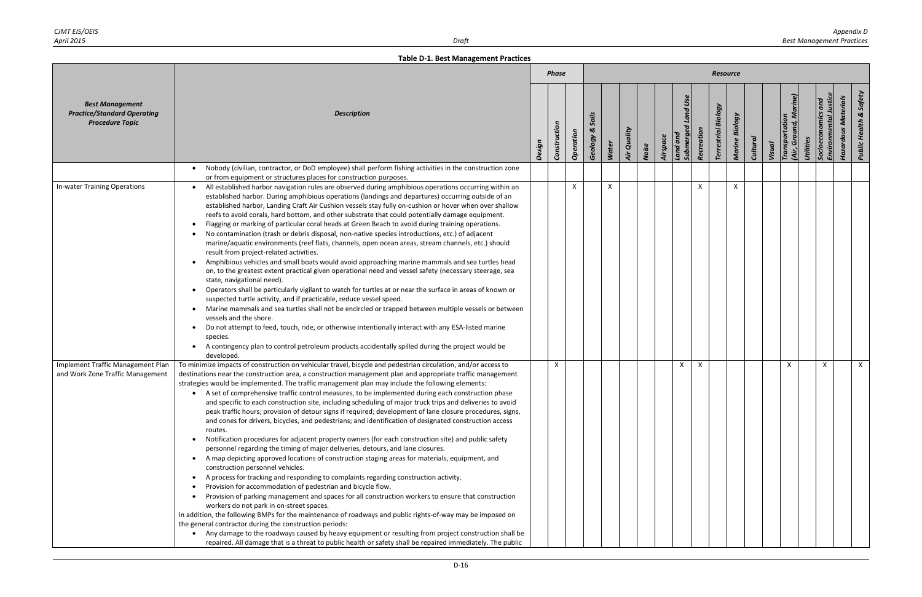|                                                                                        |                                                                                                                                                                                                                                                                                                                                                                                                                                                                                                                                                                                                                                                                                                                                                                                                                                                                                                                                                                                                                                                                                                                                                                                                                                                                                                                                                                                                                                                                                                                                                                                                                                                                                                                                                                                  |        | <b>Phase</b> |           |                       |              |             |       |          |                                         |                           | <b>Resource</b>               |                |          |        |                               |           |                      |                            |                                  |
|----------------------------------------------------------------------------------------|----------------------------------------------------------------------------------------------------------------------------------------------------------------------------------------------------------------------------------------------------------------------------------------------------------------------------------------------------------------------------------------------------------------------------------------------------------------------------------------------------------------------------------------------------------------------------------------------------------------------------------------------------------------------------------------------------------------------------------------------------------------------------------------------------------------------------------------------------------------------------------------------------------------------------------------------------------------------------------------------------------------------------------------------------------------------------------------------------------------------------------------------------------------------------------------------------------------------------------------------------------------------------------------------------------------------------------------------------------------------------------------------------------------------------------------------------------------------------------------------------------------------------------------------------------------------------------------------------------------------------------------------------------------------------------------------------------------------------------------------------------------------------------|--------|--------------|-----------|-----------------------|--------------|-------------|-------|----------|-----------------------------------------|---------------------------|-------------------------------|----------------|----------|--------|-------------------------------|-----------|----------------------|----------------------------|----------------------------------|
| <b>Best Management</b><br><b>Practice/Standard Operating</b><br><b>Procedure Topic</b> | <b>Description</b>                                                                                                                                                                                                                                                                                                                                                                                                                                                                                                                                                                                                                                                                                                                                                                                                                                                                                                                                                                                                                                                                                                                                                                                                                                                                                                                                                                                                                                                                                                                                                                                                                                                                                                                                                               | Design | Construction | Operation | Soils<br>ಜ<br>Geology | <b>Water</b> | Air Quality | Noise | Airspace | Land Use<br>Land and<br><b>Submerge</b> | Recreation                | Biology<br><b>Terrestrial</b> | Marine Biology | Cultural | Visual | Transportation<br>(Air, Groun | Utilities | Environm<br>Socioecc | <b>Hazardous Materials</b> | & Safety<br><b>Public Health</b> |
|                                                                                        | Nobody (civilian, contractor, or DoD employee) shall perform fishing activities in the construction zone<br>$\bullet$                                                                                                                                                                                                                                                                                                                                                                                                                                                                                                                                                                                                                                                                                                                                                                                                                                                                                                                                                                                                                                                                                                                                                                                                                                                                                                                                                                                                                                                                                                                                                                                                                                                            |        |              |           |                       |              |             |       |          |                                         |                           |                               |                |          |        |                               |           |                      |                            |                                  |
| In-water Training Operations                                                           | or from equipment or structures places for construction purposes.<br>All established harbor navigation rules are observed during amphibious operations occurring within an<br>established harbor. During amphibious operations (landings and departures) occurring outside of an<br>established harbor, Landing Craft Air Cushion vessels stay fully on-cushion or hover when over shallow<br>reefs to avoid corals, hard bottom, and other substrate that could potentially damage equipment.<br>Flagging or marking of particular coral heads at Green Beach to avoid during training operations.<br>No contamination (trash or debris disposal, non-native species introductions, etc.) of adjacent<br>marine/aquatic environments (reef flats, channels, open ocean areas, stream channels, etc.) should<br>result from project-related activities.<br>Amphibious vehicles and small boats would avoid approaching marine mammals and sea turtles head<br>on, to the greatest extent practical given operational need and vessel safety (necessary steerage, sea<br>state, navigational need).<br>Operators shall be particularly vigilant to watch for turtles at or near the surface in areas of known or<br>suspected turtle activity, and if practicable, reduce vessel speed.<br>• Marine mammals and sea turtles shall not be encircled or trapped between multiple vessels or between<br>vessels and the shore.<br>Do not attempt to feed, touch, ride, or otherwise intentionally interact with any ESA-listed marine<br>$\bullet$<br>species.<br>A contingency plan to control petroleum products accidentally spilled during the project would be<br>developed.                                                                                                    |        |              | X         |                       |              |             |       |          |                                         | $\boldsymbol{\mathsf{x}}$ |                               | X              |          |        |                               |           |                      |                            |                                  |
| Implement Traffic Management Plan                                                      | To minimize impacts of construction on vehicular travel, bicycle and pedestrian circulation, and/or access to                                                                                                                                                                                                                                                                                                                                                                                                                                                                                                                                                                                                                                                                                                                                                                                                                                                                                                                                                                                                                                                                                                                                                                                                                                                                                                                                                                                                                                                                                                                                                                                                                                                                    |        | $\mathsf{X}$ |           |                       |              |             |       |          | X                                       | $\boldsymbol{\mathsf{x}}$ |                               |                |          |        | X                             |           | $\mathsf{X}$         |                            | X                                |
| and Work Zone Traffic Management                                                       | destinations near the construction area, a construction management plan and appropriate traffic management<br>strategies would be implemented. The traffic management plan may include the following elements:<br>• A set of comprehensive traffic control measures, to be implemented during each construction phase<br>and specific to each construction site, including scheduling of major truck trips and deliveries to avoid<br>peak traffic hours; provision of detour signs if required; development of lane closure procedures, signs,<br>and cones for drivers, bicycles, and pedestrians; and identification of designated construction access<br>routes.<br>Notification procedures for adjacent property owners (for each construction site) and public safety<br>$\bullet$<br>personnel regarding the timing of major deliveries, detours, and lane closures.<br>A map depicting approved locations of construction staging areas for materials, equipment, and<br>$\bullet$<br>construction personnel vehicles.<br>A process for tracking and responding to complaints regarding construction activity.<br>$\bullet$<br>Provision for accommodation of pedestrian and bicycle flow.<br>$\bullet$<br>Provision of parking management and spaces for all construction workers to ensure that construction<br>$\bullet$<br>workers do not park in on-street spaces.<br>In addition, the following BMPs for the maintenance of roadways and public rights-of-way may be imposed on<br>the general contractor during the construction periods:<br>• Any damage to the roadways caused by heavy equipment or resulting from project construction shall be<br>repaired. All damage that is a threat to public health or safety shall be repaired immediately. The public |        |              |           |                       |              |             |       |          |                                         |                           |                               |                |          |        |                               |           |                      |                            |                                  |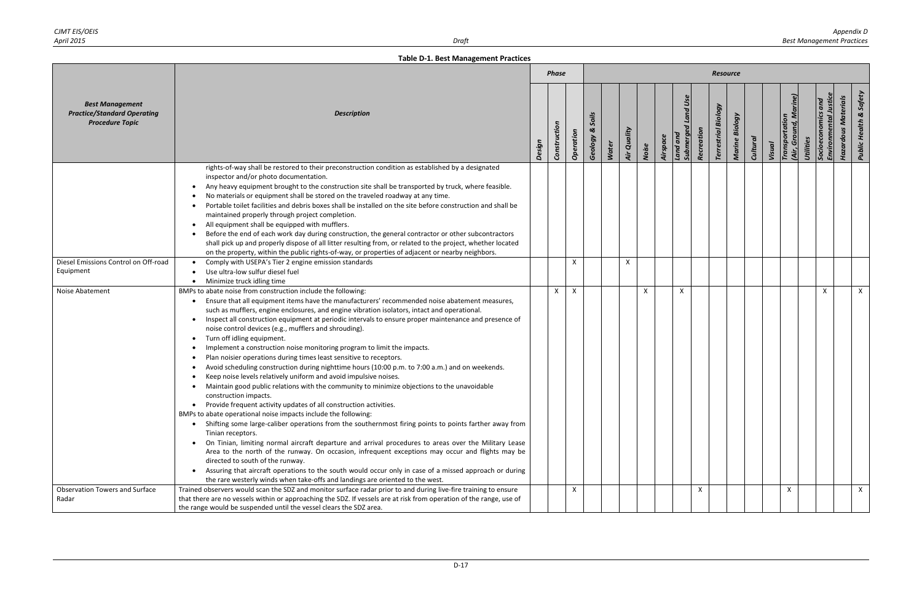|                                                                                        |                                                                                                                                                                                                                                                                                                                                                                                                                                                                                                                                                                                                                                                                                                                                                                                                                                                                                                                                                                                                                                                                                                                                                                                                                                                                                                                                                                                                                                                                                                                                                                                                                                                           |        | <b>Phase</b> |           |                              |              |              |       |          |                                       |            | <b>Resource</b>               |                |                 |        |                                         |           |                                                   |                            |                                   |
|----------------------------------------------------------------------------------------|-----------------------------------------------------------------------------------------------------------------------------------------------------------------------------------------------------------------------------------------------------------------------------------------------------------------------------------------------------------------------------------------------------------------------------------------------------------------------------------------------------------------------------------------------------------------------------------------------------------------------------------------------------------------------------------------------------------------------------------------------------------------------------------------------------------------------------------------------------------------------------------------------------------------------------------------------------------------------------------------------------------------------------------------------------------------------------------------------------------------------------------------------------------------------------------------------------------------------------------------------------------------------------------------------------------------------------------------------------------------------------------------------------------------------------------------------------------------------------------------------------------------------------------------------------------------------------------------------------------------------------------------------------------|--------|--------------|-----------|------------------------------|--------------|--------------|-------|----------|---------------------------------------|------------|-------------------------------|----------------|-----------------|--------|-----------------------------------------|-----------|---------------------------------------------------|----------------------------|-----------------------------------|
| <b>Best Management</b><br><b>Practice/Standard Operating</b><br><b>Procedure Topic</b> | <b>Description</b>                                                                                                                                                                                                                                                                                                                                                                                                                                                                                                                                                                                                                                                                                                                                                                                                                                                                                                                                                                                                                                                                                                                                                                                                                                                                                                                                                                                                                                                                                                                                                                                                                                        | Design | Construction | Operation | Soils<br>$\infty$<br>Geology | <b>Water</b> | Air Quality  | Noise | Airspace | <b>Submerged Land Use</b><br>Land and | Recreation | Biology<br><b>Terrestrial</b> | Marine Biology | <b>Cultural</b> | Visual | (Air, Ground, Marine)<br>Transportation | Utilities | <b>Environmental Justic</b><br>Socioeconomics and | <b>Hazardous Materials</b> | <b>Public Health &amp; Safety</b> |
|                                                                                        | rights-of-way shall be restored to their preconstruction condition as established by a designated<br>inspector and/or photo documentation.<br>Any heavy equipment brought to the construction site shall be transported by truck, where feasible.<br>No materials or equipment shall be stored on the traveled roadway at any time.<br>Portable toilet facilities and debris boxes shall be installed on the site before construction and shall be<br>maintained properly through project completion.<br>All equipment shall be equipped with mufflers.<br>Before the end of each work day during construction, the general contractor or other subcontractors<br>shall pick up and properly dispose of all litter resulting from, or related to the project, whether located<br>on the property, within the public rights-of-way, or properties of adjacent or nearby neighbors.                                                                                                                                                                                                                                                                                                                                                                                                                                                                                                                                                                                                                                                                                                                                                                         |        |              |           |                              |              |              |       |          |                                       |            |                               |                |                 |        |                                         |           |                                                   |                            |                                   |
| Diesel Emissions Control on Off-road<br>Equipment                                      | Comply with USEPA's Tier 2 engine emission standards<br>Use ultra-low sulfur diesel fuel<br>Minimize truck idling time                                                                                                                                                                                                                                                                                                                                                                                                                                                                                                                                                                                                                                                                                                                                                                                                                                                                                                                                                                                                                                                                                                                                                                                                                                                                                                                                                                                                                                                                                                                                    |        |              | X         |                              |              | $\mathsf{X}$ |       |          |                                       |            |                               |                |                 |        |                                         |           |                                                   |                            |                                   |
| Noise Abatement                                                                        | BMPs to abate noise from construction include the following:<br>Ensure that all equipment items have the manufacturers' recommended noise abatement measures,<br>such as mufflers, engine enclosures, and engine vibration isolators, intact and operational.<br>Inspect all construction equipment at periodic intervals to ensure proper maintenance and presence of<br>$\bullet$<br>noise control devices (e.g., mufflers and shrouding).<br>Turn off idling equipment.<br>Implement a construction noise monitoring program to limit the impacts.<br>Plan noisier operations during times least sensitive to receptors.<br>Avoid scheduling construction during nighttime hours (10:00 p.m. to 7:00 a.m.) and on weekends.<br>Keep noise levels relatively uniform and avoid impulsive noises.<br>Maintain good public relations with the community to minimize objections to the unavoidable<br>construction impacts.<br>Provide frequent activity updates of all construction activities.<br>$\bullet$<br>BMPs to abate operational noise impacts include the following:<br>Shifting some large-caliber operations from the southernmost firing points to points farther away from<br>Tinian receptors.<br>On Tinian, limiting normal aircraft departure and arrival procedures to areas over the Military Lease<br>Area to the north of the runway. On occasion, infrequent exceptions may occur and flights may be<br>directed to south of the runway.<br>Assuring that aircraft operations to the south would occur only in case of a missed approach or during<br>the rare westerly winds when take-offs and landings are oriented to the west. |        | $\mathsf{X}$ | X         |                              |              |              | X     |          | X                                     |            |                               |                |                 |        |                                         |           | $\times$                                          |                            | X                                 |
| <b>Observation Towers and Surface</b><br>Radar                                         | Trained observers would scan the SDZ and monitor surface radar prior to and during live-fire training to ensure<br>that there are no vessels within or approaching the SDZ. If vessels are at risk from operation of the range, use of<br>the range would be suspended until the vessel clears the SDZ area.                                                                                                                                                                                                                                                                                                                                                                                                                                                                                                                                                                                                                                                                                                                                                                                                                                                                                                                                                                                                                                                                                                                                                                                                                                                                                                                                              |        |              | X         |                              |              |              |       |          |                                       | X          |                               |                |                 |        | X                                       |           |                                                   |                            | $\mathsf{X}$                      |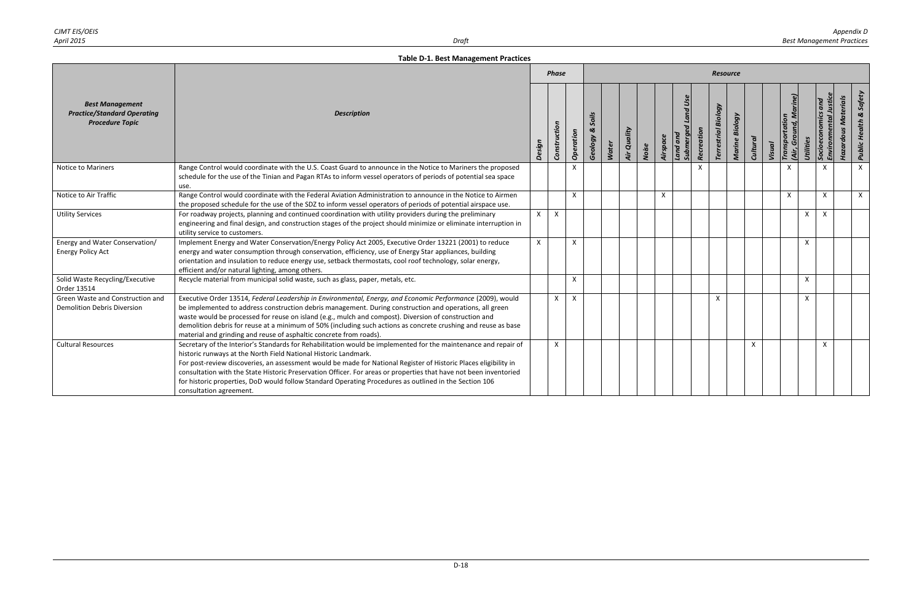| CJMT EIS/OEIS |       | Appendix D                       |
|---------------|-------|----------------------------------|
| April 2015    | Draft | <b>Best Management Practices</b> |

|                                                                                        |                                                                                                                                                                                                                                                                                                                                                                                                                                                                                                                                                                  |              | <b>Phase</b> |           |                       |              |             |       |          |                                        |                           | <b>Resource</b>            |                |                 |               |                                         |              |                                 |                            |                                                         |
|----------------------------------------------------------------------------------------|------------------------------------------------------------------------------------------------------------------------------------------------------------------------------------------------------------------------------------------------------------------------------------------------------------------------------------------------------------------------------------------------------------------------------------------------------------------------------------------------------------------------------------------------------------------|--------------|--------------|-----------|-----------------------|--------------|-------------|-------|----------|----------------------------------------|---------------------------|----------------------------|----------------|-----------------|---------------|-----------------------------------------|--------------|---------------------------------|----------------------------|---------------------------------------------------------|
| <b>Best Management</b><br><b>Practice/Standard Operating</b><br><b>Procedure Topic</b> | <b>Description</b>                                                                                                                                                                                                                                                                                                                                                                                                                                                                                                                                               | Design       | Construction | Operation | Soils<br>త<br>Geology | <b>Water</b> | Air Quality | Noise | Airspace | Land Us<br>Land and<br><b>Submergo</b> | Recreation                | <b>Terrestrial Biology</b> | Marine Biology | <b>Cultural</b> | <b>Visual</b> | (Air, Ground, Marine)<br>Transportation | Utilities    | and<br>Socioeconomics<br>Enviro | <b>Hazardous Materials</b> | Safety<br>$\boldsymbol{\infty}$<br><b>Public Health</b> |
| <b>Notice to Mariners</b>                                                              | Range Control would coordinate with the U.S. Coast Guard to announce in the Notice to Mariners the proposed<br>schedule for the use of the Tinian and Pagan RTAs to inform vessel operators of periods of potential sea space<br>use.                                                                                                                                                                                                                                                                                                                            |              |              |           |                       |              |             |       |          |                                        | $\boldsymbol{\mathsf{x}}$ |                            |                |                 |               |                                         |              | $\mathsf{x}$                    |                            | $\mathsf{x}$                                            |
| Notice to Air Traffic                                                                  | Range Control would coordinate with the Federal Aviation Administration to announce in the Notice to Airmen<br>the proposed schedule for the use of the SDZ to inform vessel operators of periods of potential airspace use.                                                                                                                                                                                                                                                                                                                                     |              |              | X         |                       |              |             |       | X        |                                        |                           |                            |                |                 |               | X                                       |              | $\mathsf{X}$                    |                            | $\mathsf{X}$                                            |
| <b>Utility Services</b>                                                                | For roadway projects, planning and continued coordination with utility providers during the preliminary<br>engineering and final design, and construction stages of the project should minimize or eliminate interruption in<br>utility service to customers.                                                                                                                                                                                                                                                                                                    | $\mathsf{x}$ | $\mathsf{X}$ |           |                       |              |             |       |          |                                        |                           |                            |                |                 |               |                                         | $\mathsf{X}$ | $\mathsf{x}$                    |                            |                                                         |
| Energy and Water Conservation/<br><b>Energy Policy Act</b>                             | Implement Energy and Water Conservation/Energy Policy Act 2005, Executive Order 13221 (2001) to reduce<br>energy and water consumption through conservation, efficiency, use of Energy Star appliances, building<br>orientation and insulation to reduce energy use, setback thermostats, cool roof technology, solar energy,<br>efficient and/or natural lighting, among others.                                                                                                                                                                                | $\mathsf{x}$ |              | X         |                       |              |             |       |          |                                        |                           |                            |                |                 |               |                                         | $\times$     |                                 |                            |                                                         |
| Solid Waste Recycling/Executive<br>Order 13514                                         | Recycle material from municipal solid waste, such as glass, paper, metals, etc.                                                                                                                                                                                                                                                                                                                                                                                                                                                                                  |              |              | Χ         |                       |              |             |       |          |                                        |                           |                            |                |                 |               |                                         | $\mathsf{x}$ |                                 |                            |                                                         |
| Green Waste and Construction and<br><b>Demolition Debris Diversion</b>                 | Executive Order 13514, Federal Leadership in Environmental, Energy, and Economic Performance (2009), would<br>be implemented to address construction debris management. During construction and operations, all green<br>waste would be processed for reuse on island (e.g., mulch and compost). Diversion of construction and<br>demolition debris for reuse at a minimum of 50% (including such actions as concrete crushing and reuse as base<br>material and grinding and reuse of asphaltic concrete from roads).                                           |              | $\mathsf{X}$ |           |                       |              |             |       |          |                                        |                           | X                          |                |                 |               |                                         | X            |                                 |                            |                                                         |
| <b>Cultural Resources</b>                                                              | Secretary of the Interior's Standards for Rehabilitation would be implemented for the maintenance and repair of<br>historic runways at the North Field National Historic Landmark.<br>For post-review discoveries, an assessment would be made for National Register of Historic Places eligibility in<br>consultation with the State Historic Preservation Officer. For areas or properties that have not been inventoried<br>for historic properties, DoD would follow Standard Operating Procedures as outlined in the Section 106<br>consultation agreement. |              | $\mathsf{x}$ |           |                       |              |             |       |          |                                        |                           |                            |                | X               |               |                                         |              | X                               |                            |                                                         |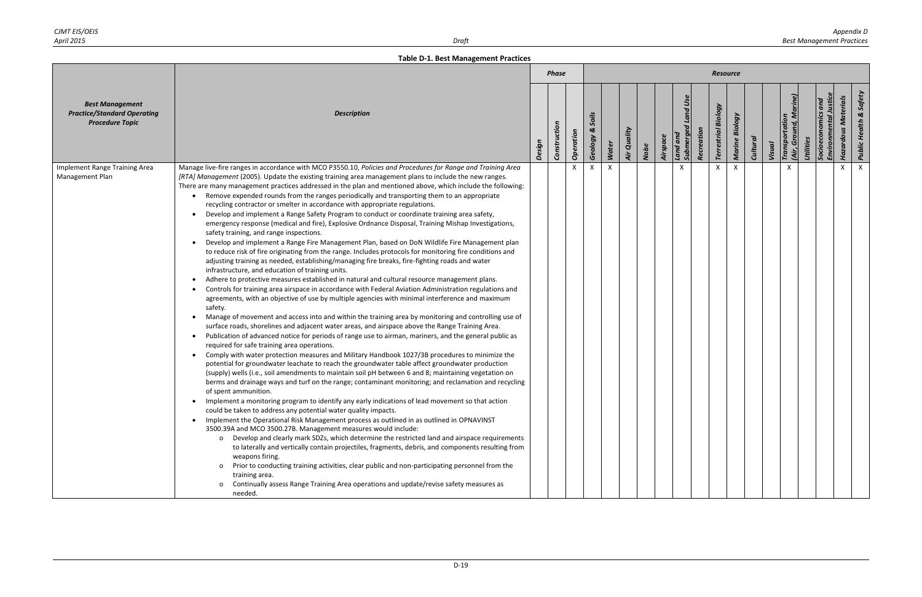|                                                                                        |                                                                                                                                                                                                                                                                                                                                                                                                                                                                                                                                                                                                                                                                                                                                                                                                                                                                                                                                                                                                                                                                                                                                                                                                                                                                                                                                                                                                                                                                                                                                                                                                                                                                                                                                                                                                                                                                                                                                                                                                                                                                                                                                                                                                                                                                                                                                                                                                                                                                                                                                                                                                                                                                                                                                                                                                                                                                                                                                                                                                                                                                                                |        | <b>Phase</b> |           |                       |       |             |       |          |                                        |            | Resource                   |                   |                 |        |                                 |                       |                                       |                                   |
|----------------------------------------------------------------------------------------|------------------------------------------------------------------------------------------------------------------------------------------------------------------------------------------------------------------------------------------------------------------------------------------------------------------------------------------------------------------------------------------------------------------------------------------------------------------------------------------------------------------------------------------------------------------------------------------------------------------------------------------------------------------------------------------------------------------------------------------------------------------------------------------------------------------------------------------------------------------------------------------------------------------------------------------------------------------------------------------------------------------------------------------------------------------------------------------------------------------------------------------------------------------------------------------------------------------------------------------------------------------------------------------------------------------------------------------------------------------------------------------------------------------------------------------------------------------------------------------------------------------------------------------------------------------------------------------------------------------------------------------------------------------------------------------------------------------------------------------------------------------------------------------------------------------------------------------------------------------------------------------------------------------------------------------------------------------------------------------------------------------------------------------------------------------------------------------------------------------------------------------------------------------------------------------------------------------------------------------------------------------------------------------------------------------------------------------------------------------------------------------------------------------------------------------------------------------------------------------------------------------------------------------------------------------------------------------------------------------------------------------------------------------------------------------------------------------------------------------------------------------------------------------------------------------------------------------------------------------------------------------------------------------------------------------------------------------------------------------------------------------------------------------------------------------------------------------------|--------|--------------|-----------|-----------------------|-------|-------------|-------|----------|----------------------------------------|------------|----------------------------|-------------------|-----------------|--------|---------------------------------|-----------------------|---------------------------------------|-----------------------------------|
| <b>Best Management</b><br><b>Practice/Standard Operating</b><br><b>Procedure Topic</b> | <b>Description</b>                                                                                                                                                                                                                                                                                                                                                                                                                                                                                                                                                                                                                                                                                                                                                                                                                                                                                                                                                                                                                                                                                                                                                                                                                                                                                                                                                                                                                                                                                                                                                                                                                                                                                                                                                                                                                                                                                                                                                                                                                                                                                                                                                                                                                                                                                                                                                                                                                                                                                                                                                                                                                                                                                                                                                                                                                                                                                                                                                                                                                                                                             | Design | Construction | Operation | Soils<br>ಜ<br>Geology | Water | Air Quality | Noise | Airspace | Land Use<br>Land and<br><b>Submerg</b> | Recreation | <b>Terrestrial Biology</b> | Biology<br>Marine | <b>Cultural</b> | Visual | Transportation<br>Grou<br>(Air, | Utilities<br>Socioecc | <b>Hazardous Materials</b><br>Environ | <b>Public Health &amp; Safety</b> |
| Implement Range Training Area<br>Management Plan                                       | Manage live-fire ranges in accordance with MCO P3550.10, Policies and Procedures for Range and Training Area<br>[RTA] Management (2005). Update the existing training area management plans to include the new ranges.<br>There are many management practices addressed in the plan and mentioned above, which include the following:<br>• Remove expended rounds from the ranges periodically and transporting them to an appropriate<br>recycling contractor or smelter in accordance with appropriate regulations.<br>Develop and implement a Range Safety Program to conduct or coordinate training area safety,<br>emergency response (medical and fire), Explosive Ordnance Disposal, Training Mishap Investigations,<br>safety training, and range inspections.<br>Develop and implement a Range Fire Management Plan, based on DoN Wildlife Fire Management plan<br>to reduce risk of fire originating from the range. Includes protocols for monitoring fire conditions and<br>adjusting training as needed, establishing/managing fire breaks, fire-fighting roads and water<br>infrastructure, and education of training units.<br>Adhere to protective measures established in natural and cultural resource management plans.<br>Controls for training area airspace in accordance with Federal Aviation Administration regulations and<br>agreements, with an objective of use by multiple agencies with minimal interference and maximum<br>safety.<br>Manage of movement and access into and within the training area by monitoring and controlling use of<br>surface roads, shorelines and adjacent water areas, and airspace above the Range Training Area.<br>Publication of advanced notice for periods of range use to airman, mariners, and the general public as<br>required for safe training area operations.<br>Comply with water protection measures and Military Handbook 1027/3B procedures to minimize the<br>potential for groundwater leachate to reach the groundwater table affect groundwater production<br>(supply) wells (i.e., soil amendments to maintain soil pH between 6 and 8; maintaining vegetation on<br>berms and drainage ways and turf on the range; contaminant monitoring; and reclamation and recycling<br>of spent ammunition.<br>Implement a monitoring program to identify any early indications of lead movement so that action<br>could be taken to address any potential water quality impacts.<br>Implement the Operational Risk Management process as outlined in as outlined in OPNAVINST<br>3500.39A and MCO 3500.27B. Management measures would include:<br>Develop and clearly mark SDZs, which determine the restricted land and airspace requirements<br>$\circ$<br>to laterally and vertically contain projectiles, fragments, debris, and components resulting from<br>weapons firing.<br>Prior to conducting training activities, clear public and non-participating personnel from the<br>training area.<br>Continually assess Range Training Area operations and update/revise safety measures as<br>$\circ$<br>needed. |        |              |           |                       | X     |             |       |          |                                        |            |                            |                   |                 |        |                                 |                       | X                                     | $\times$                          |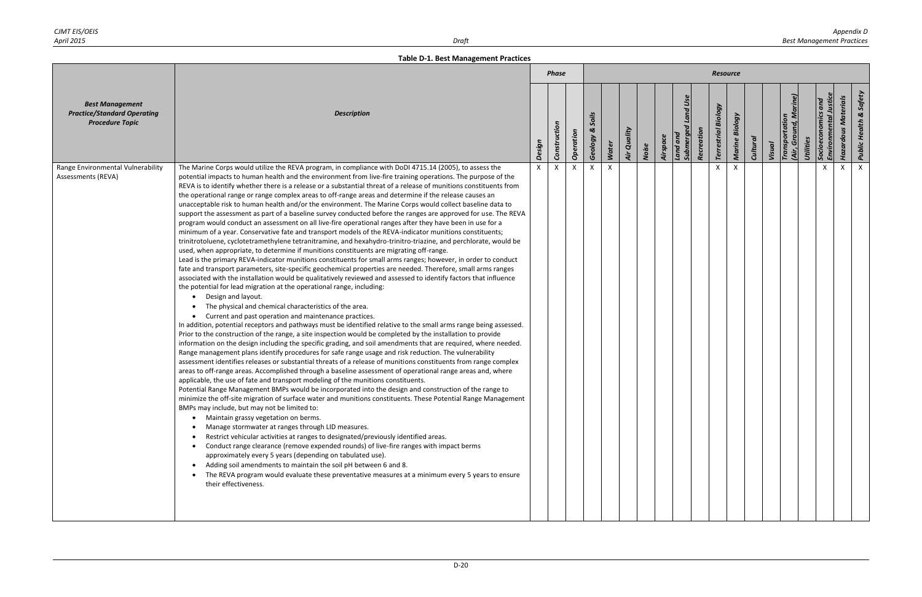|                                                                                        |                                                                                                                                                                                                                                                                                                                                                                                                                                                                                                                                                                                                                                                                                                                                                                                                                                                                                                                                                                                                                                                                                                                                                                                                                                                                                                                                                                                                                                                                                                                                                                                                                                                                                                                                                                                                                                                                                                                                                                                                                                                                                                                                                                                                                                                                                                                                                                                                                                                                                                                                                                                                                                                                                                                                                                                                                                                                                                                                                                                                                                                                                                                                                                                                                                                                                                                                           |                           | <b>Phase</b> |           |                       |       |             |       |          |                                  |            | <b>Resource</b>               |                |                 |        |                                 |           |                      |                            |                                   |
|----------------------------------------------------------------------------------------|-------------------------------------------------------------------------------------------------------------------------------------------------------------------------------------------------------------------------------------------------------------------------------------------------------------------------------------------------------------------------------------------------------------------------------------------------------------------------------------------------------------------------------------------------------------------------------------------------------------------------------------------------------------------------------------------------------------------------------------------------------------------------------------------------------------------------------------------------------------------------------------------------------------------------------------------------------------------------------------------------------------------------------------------------------------------------------------------------------------------------------------------------------------------------------------------------------------------------------------------------------------------------------------------------------------------------------------------------------------------------------------------------------------------------------------------------------------------------------------------------------------------------------------------------------------------------------------------------------------------------------------------------------------------------------------------------------------------------------------------------------------------------------------------------------------------------------------------------------------------------------------------------------------------------------------------------------------------------------------------------------------------------------------------------------------------------------------------------------------------------------------------------------------------------------------------------------------------------------------------------------------------------------------------------------------------------------------------------------------------------------------------------------------------------------------------------------------------------------------------------------------------------------------------------------------------------------------------------------------------------------------------------------------------------------------------------------------------------------------------------------------------------------------------------------------------------------------------------------------------------------------------------------------------------------------------------------------------------------------------------------------------------------------------------------------------------------------------------------------------------------------------------------------------------------------------------------------------------------------------------------------------------------------------------------------------------------------------|---------------------------|--------------|-----------|-----------------------|-------|-------------|-------|----------|----------------------------------|------------|-------------------------------|----------------|-----------------|--------|---------------------------------|-----------|----------------------|----------------------------|-----------------------------------|
| <b>Best Management</b><br><b>Practice/Standard Operating</b><br><b>Procedure Topic</b> | <b>Description</b>                                                                                                                                                                                                                                                                                                                                                                                                                                                                                                                                                                                                                                                                                                                                                                                                                                                                                                                                                                                                                                                                                                                                                                                                                                                                                                                                                                                                                                                                                                                                                                                                                                                                                                                                                                                                                                                                                                                                                                                                                                                                                                                                                                                                                                                                                                                                                                                                                                                                                                                                                                                                                                                                                                                                                                                                                                                                                                                                                                                                                                                                                                                                                                                                                                                                                                                        | Design                    | Construction | Operation | Soils<br>త<br>Geology | Water | Air Quality | Noise | Airspace | Land Use<br>Land and<br>Submerge | Recreation | Biology<br><b>Terrestrial</b> | Marine Biology | <b>Cultural</b> | Visual | Transportation<br>(Air, Ground, | Utilities | Environm<br>Socioeco | <b>Hazardous Materials</b> | <b>Public Health &amp; Safety</b> |
| Range Environmental Vulnerability<br>Assessments (REVA)                                | The Marine Corps would utilize the REVA program, in compliance with DoDI 4715.14 (2005), to assess the<br>potential impacts to human health and the environment from live-fire training operations. The purpose of the<br>REVA is to identify whether there is a release or a substantial threat of a release of munitions constituents from<br>the operational range or range complex areas to off-range areas and determine if the release causes an<br>unacceptable risk to human health and/or the environment. The Marine Corps would collect baseline data to<br>support the assessment as part of a baseline survey conducted before the ranges are approved for use. The REVA<br>program would conduct an assessment on all live-fire operational ranges after they have been in use for a<br>minimum of a year. Conservative fate and transport models of the REVA-indicator munitions constituents;<br>trinitrotoluene, cyclotetramethylene tetranitramine, and hexahydro-trinitro-triazine, and perchlorate, would be<br>used, when appropriate, to determine if munitions constituents are migrating off-range.<br>Lead is the primary REVA-indicator munitions constituents for small arms ranges; however, in order to conduct<br>fate and transport parameters, site-specific geochemical properties are needed. Therefore, small arms ranges<br>associated with the installation would be qualitatively reviewed and assessed to identify factors that influence<br>the potential for lead migration at the operational range, including:<br>Design and layout.<br>The physical and chemical characteristics of the area.<br>$\bullet$<br>• Current and past operation and maintenance practices.<br>In addition, potential receptors and pathways must be identified relative to the small arms range being assessed.<br>Prior to the construction of the range, a site inspection would be completed by the installation to provide<br>information on the design including the specific grading, and soil amendments that are required, where needed.<br>Range management plans identify procedures for safe range usage and risk reduction. The vulnerability<br>assessment identifies releases or substantial threats of a release of munitions constituents from range complex<br>areas to off-range areas. Accomplished through a baseline assessment of operational range areas and, where<br>applicable, the use of fate and transport modeling of the munitions constituents.<br>Potential Range Management BMPs would be incorporated into the design and construction of the range to<br>minimize the off-site migration of surface water and munitions constituents. These Potential Range Management<br>BMPs may include, but may not be limited to:<br>• Maintain grassy vegetation on berms.<br>Manage stormwater at ranges through LID measures.<br>Restrict vehicular activities at ranges to designated/previously identified areas.<br>Conduct range clearance (remove expended rounds) of live-fire ranges with impact berms<br>$\bullet$<br>approximately every 5 years (depending on tabulated use).<br>Adding soil amendments to maintain the soil pH between 6 and 8.<br>The REVA program would evaluate these preventative measures at a minimum every 5 years to ensure<br>their effectiveness. | $\boldsymbol{\mathsf{x}}$ |              |           |                       |       |             |       |          |                                  |            |                               |                |                 |        |                                 |           |                      |                            | $\times$                          |